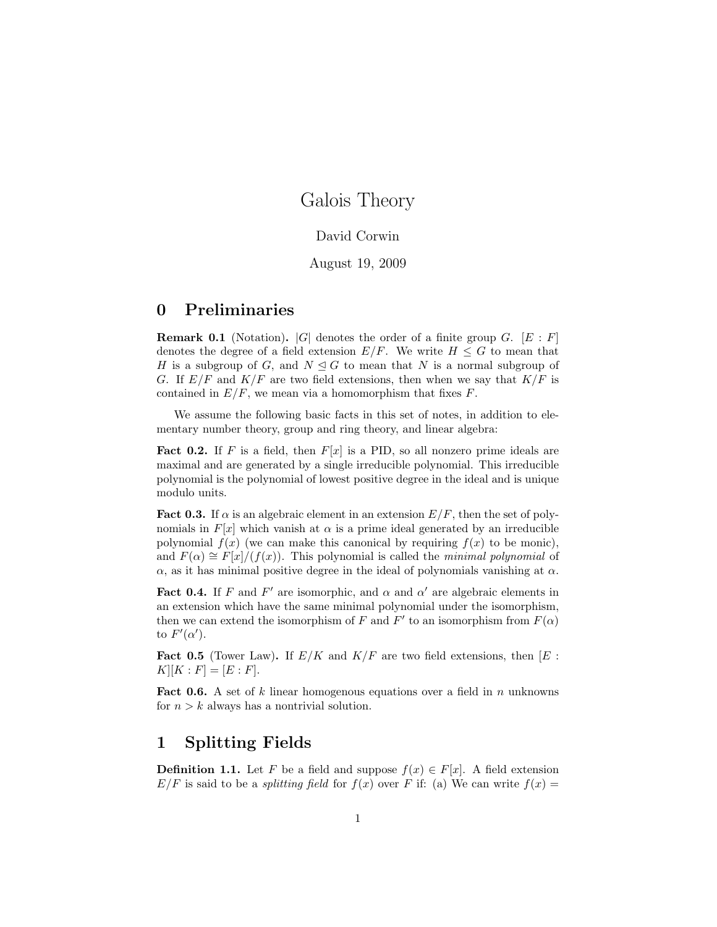# Galois Theory

#### David Corwin

#### August 19, 2009

# 0 Preliminaries

**Remark 0.1** (Notation).  $|G|$  denotes the order of a finite group G.  $[E : F]$ denotes the degree of a field extension  $E/F$ . We write  $H \leq G$  to mean that H is a subgroup of G, and  $N \leq G$  to mean that N is a normal subgroup of G. If  $E/F$  and  $K/F$  are two field extensions, then when we say that  $K/F$  is contained in  $E/F$ , we mean via a homomorphism that fixes  $F$ .

We assume the following basic facts in this set of notes, in addition to elementary number theory, group and ring theory, and linear algebra:

**Fact 0.2.** If F is a field, then  $F[x]$  is a PID, so all nonzero prime ideals are maximal and are generated by a single irreducible polynomial. This irreducible polynomial is the polynomial of lowest positive degree in the ideal and is unique modulo units.

**Fact 0.3.** If  $\alpha$  is an algebraic element in an extension  $E/F$ , then the set of polynomials in  $F[x]$  which vanish at  $\alpha$  is a prime ideal generated by an irreducible polynomial  $f(x)$  (we can make this canonical by requiring  $f(x)$  to be monic), and  $F(\alpha) \cong F[x]/(f(x))$ . This polynomial is called the *minimal polynomial* of  $\alpha$ , as it has minimal positive degree in the ideal of polynomials vanishing at  $\alpha$ .

**Fact 0.4.** If F and F' are isomorphic, and  $\alpha$  and  $\alpha'$  are algebraic elements in an extension which have the same minimal polynomial under the isomorphism, then we can extend the isomorphism of F and  $F'$  to an isomorphism from  $F(\alpha)$ to  $F'(\alpha')$ .

**Fact 0.5** (Tower Law). If  $E/K$  and  $K/F$  are two field extensions, then  $[E:$  $K[[K : F] = [E : F].$ 

**Fact 0.6.** A set of k linear homogenous equations over a field in n unknowns for  $n > k$  always has a nontrivial solution.

## 1 Splitting Fields

**Definition 1.1.** Let F be a field and suppose  $f(x) \in F[x]$ . A field extension  $E/F$  is said to be a *splitting field* for  $f(x)$  over F if: (a) We can write  $f(x) =$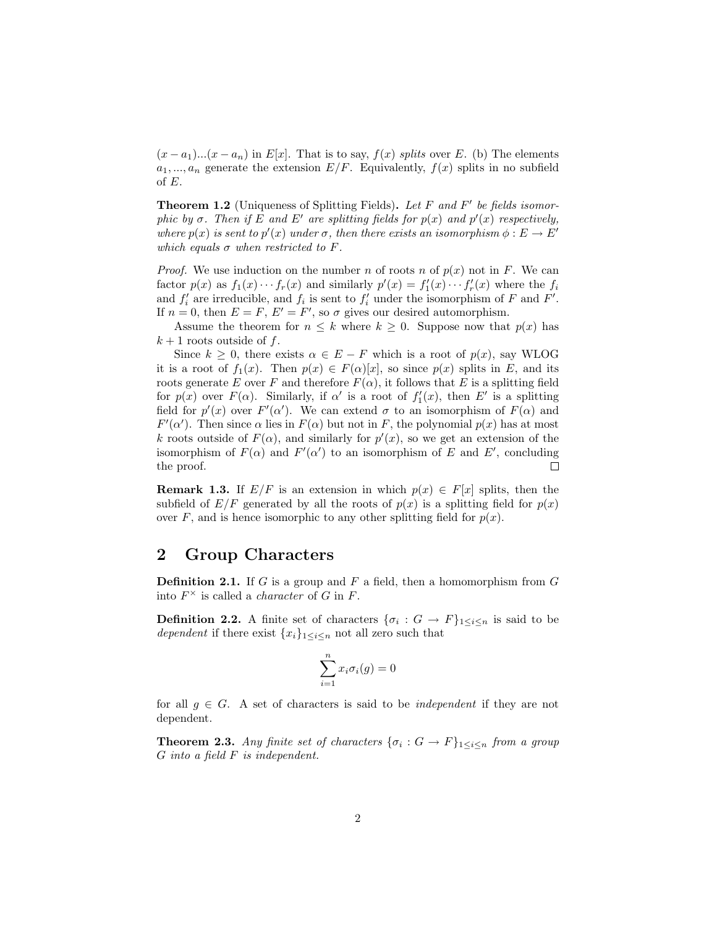$(x - a_1)...(x - a_n)$  in E[x]. That is to say,  $f(x)$  splits over E. (b) The elements  $a_1, ..., a_n$  generate the extension  $E/F$ . Equivalently,  $f(x)$  splits in no subfield of E.

**Theorem 1.2** (Uniqueness of Splitting Fields). Let  $F$  and  $F'$  be fields isomorphic by  $\sigma$ . Then if E and E' are splitting fields for  $p(x)$  and  $p'(x)$  respectively, where  $p(x)$  is sent to  $p'(x)$  under  $\sigma$ , then there exists an isomorphism  $\phi : E \to E'$ which equals  $\sigma$  when restricted to F.

*Proof.* We use induction on the number n of roots n of  $p(x)$  not in F. We can factor  $p(x)$  as  $f_1(x) \cdots f_r(x)$  and similarly  $p'(x) = f'_1(x) \cdots f'_r(x)$  where the  $f_i$ and  $f'_{i}$  are irreducible, and  $f_{i}$  is sent to  $f'_{i}$  under the isomorphism of F and F'. If  $n = 0$ , then  $E = F$ ,  $E' = F'$ , so  $\sigma$  gives our desired automorphism.

Assume the theorem for  $n \leq k$  where  $k \geq 0$ . Suppose now that  $p(x)$  has  $k+1$  roots outside of f.

Since  $k \geq 0$ , there exists  $\alpha \in E - F$  which is a root of  $p(x)$ , say WLOG it is a root of  $f_1(x)$ . Then  $p(x) \in F(\alpha)[x]$ , so since  $p(x)$  splits in E, and its roots generate E over F and therefore  $F(\alpha)$ , it follows that E is a splitting field for  $p(x)$  over  $F(\alpha)$ . Similarly, if  $\alpha'$  is a root of  $f'_{1}(x)$ , then E' is a splitting field for  $p'(x)$  over  $F'(\alpha')$ . We can extend  $\sigma$  to an isomorphism of  $F(\alpha)$  and  $F'(\alpha')$ . Then since  $\alpha$  lies in  $F(\alpha)$  but not in F, the polynomial  $p(x)$  has at most k roots outside of  $F(\alpha)$ , and similarly for  $p'(x)$ , so we get an extension of the isomorphism of  $F(\alpha)$  and  $F'(\alpha')$  to an isomorphism of E and E', concluding the proof.  $\Box$ 

**Remark 1.3.** If  $E/F$  is an extension in which  $p(x) \in F[x]$  splits, then the subfield of  $E/F$  generated by all the roots of  $p(x)$  is a splitting field for  $p(x)$ over F, and is hence isomorphic to any other splitting field for  $p(x)$ .

### 2 Group Characters

**Definition 2.1.** If G is a group and F a field, then a homomorphism from  $G$ into  $F^{\times}$  is called a *character* of G in F.

**Definition 2.2.** A finite set of characters  $\{\sigma_i : G \to F\}_{1 \leq i \leq n}$  is said to be *dependent* if there exist  $\{x_i\}_{1\leq i\leq n}$  not all zero such that

$$
\sum_{i=1}^{n} x_i \sigma_i(g) = 0
$$

for all  $g \in G$ . A set of characters is said to be *independent* if they are not dependent.

**Theorem 2.3.** Any finite set of characters  $\{\sigma_i : G \to F\}_{1 \leq i \leq n}$  from a group G into a field F is independent.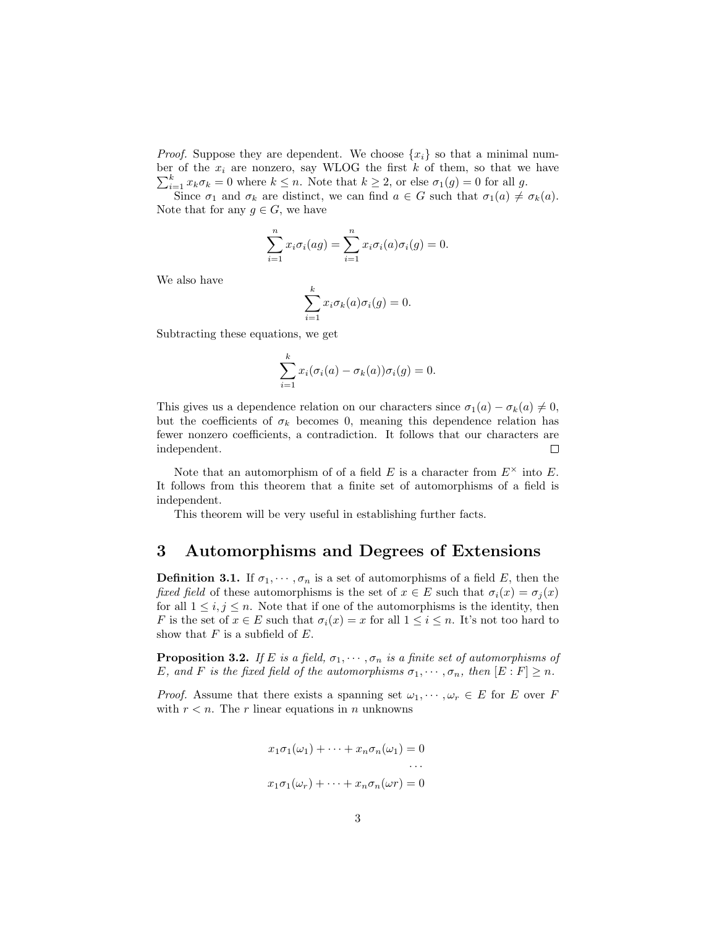*Proof.* Suppose they are dependent. We choose  $\{x_i\}$  so that a minimal number of the  $x_i$  are nonzero, say WLOG the first k of them, so that we have  $\sum_{i=1}^{k} x_k \sigma_k = 0$  where  $k \leq n$ . Note that  $k \geq 2$ , or else  $\sigma_1(g) = 0$  for all g.

Since  $\sigma_1$  and  $\sigma_k$  are distinct, we can find  $a \in G$  such that  $\sigma_1(a) \neq \sigma_k(a)$ . Note that for any  $g \in G$ , we have

$$
\sum_{i=1}^{n} x_i \sigma_i(ag) = \sum_{i=1}^{n} x_i \sigma_i(a) \sigma_i(g) = 0.
$$

We also have

$$
\sum_{i=1}^{k} x_i \sigma_k(a) \sigma_i(g) = 0.
$$

Subtracting these equations, we get

$$
\sum_{i=1}^{k} x_i (\sigma_i(a) - \sigma_k(a)) \sigma_i(g) = 0.
$$

This gives us a dependence relation on our characters since  $\sigma_1(a) - \sigma_k(a) \neq 0$ , but the coefficients of  $\sigma_k$  becomes 0, meaning this dependence relation has fewer nonzero coefficients, a contradiction. It follows that our characters are independent.  $\Box$ 

Note that an automorphism of of a field E is a character from  $E^{\times}$  into E. It follows from this theorem that a finite set of automorphisms of a field is independent.

This theorem will be very useful in establishing further facts.

### 3 Automorphisms and Degrees of Extensions

**Definition 3.1.** If  $\sigma_1, \dots, \sigma_n$  is a set of automorphisms of a field E, then the fixed field of these automorphisms is the set of  $x \in E$  such that  $\sigma_i(x) = \sigma_i(x)$ for all  $1 \leq i, j \leq n$ . Note that if one of the automorphisms is the identity, then F is the set of  $x \in E$  such that  $\sigma_i(x) = x$  for all  $1 \leq i \leq n$ . It's not too hard to show that  $F$  is a subfield of  $E$ .

**Proposition 3.2.** If E is a field,  $\sigma_1, \cdots, \sigma_n$  is a finite set of automorphisms of E, and F is the fixed field of the automorphisms  $\sigma_1, \dots, \sigma_n$ , then  $[E : F] \geq n$ .

*Proof.* Assume that there exists a spanning set  $\omega_1, \dots, \omega_r \in E$  for E over F with  $r < n$ . The r linear equations in n unknowns

$$
x_1\sigma_1(\omega_1) + \dots + x_n\sigma_n(\omega_1) = 0
$$
  
...  

$$
x_1\sigma_1(\omega_r) + \dots + x_n\sigma_n(\omega_r) = 0
$$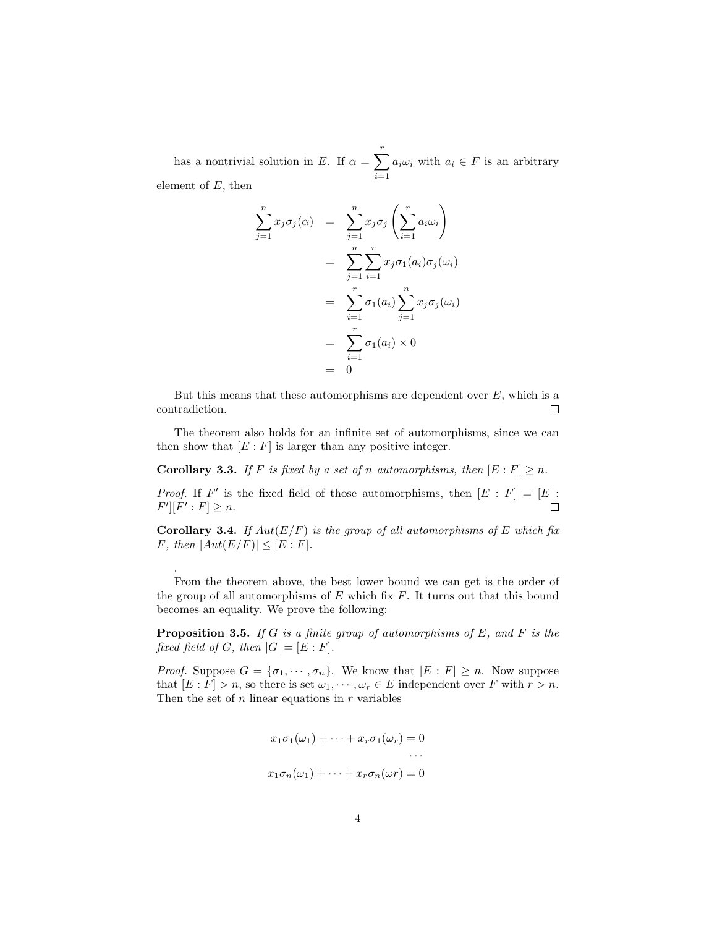has a nontrivial solution in E. If  $\alpha = \sum_{r=1}^{r}$  $i=1$  $a_i\omega_i$  with  $a_i \in F$  is an arbitrary element of  $E$ , then

$$
\sum_{j=1}^{n} x_j \sigma_j(\alpha) = \sum_{j=1}^{n} x_j \sigma_j \left( \sum_{i=1}^{r} a_i \omega_i \right)
$$

$$
= \sum_{j=1}^{n} \sum_{i=1}^{r} x_j \sigma_1(a_i) \sigma_j(\omega_i)
$$

$$
= \sum_{i=1}^{r} \sigma_1(a_i) \sum_{j=1}^{n} x_j \sigma_j(\omega_i)
$$

$$
= \sum_{i=1}^{r} \sigma_1(a_i) \times 0
$$

$$
= 0
$$

But this means that these automorphisms are dependent over  $E$ , which is a contradiction.  $\Box$ 

The theorem also holds for an infinite set of automorphisms, since we can then show that  $[E : F]$  is larger than any positive integer.

<span id="page-3-0"></span>**Corollary 3.3.** If F is fixed by a set of n automorphisms, then  $[E : F] \ge n$ .

*Proof.* If F' is the fixed field of those automorphisms, then  $[E : F] = [E : F]$  $F'$ [ $F'$  :  $F$ ]  $\geq n$ .  $\Box$ 

Corollary 3.4. If  $Aut(E/F)$  is the group of all automorphisms of E which fix F, then  $|Aut(E/F)| \leq [E : F].$ 

From the theorem above, the best lower bound we can get is the order of the group of all automorphisms of  $E$  which fix  $F$ . It turns out that this bound becomes an equality. We prove the following:

.

<span id="page-3-1"></span>**Proposition 3.5.** If G is a finite group of automorphisms of E, and F is the fixed field of G, then  $|G| = [E : F]$ .

*Proof.* Suppose  $G = {\sigma_1, \cdots, \sigma_n}$ . We know that  $[E : F] \geq n$ . Now suppose that  $[E : F] > n$ , so there is set  $\omega_1, \dots, \omega_r \in E$  independent over F with  $r > n$ . Then the set of  $n$  linear equations in  $r$  variables

$$
x_1\sigma_1(\omega_1) + \dots + x_r\sigma_1(\omega_r) = 0
$$
  
...  

$$
x_1\sigma_n(\omega_1) + \dots + x_r\sigma_n(\omega r) = 0
$$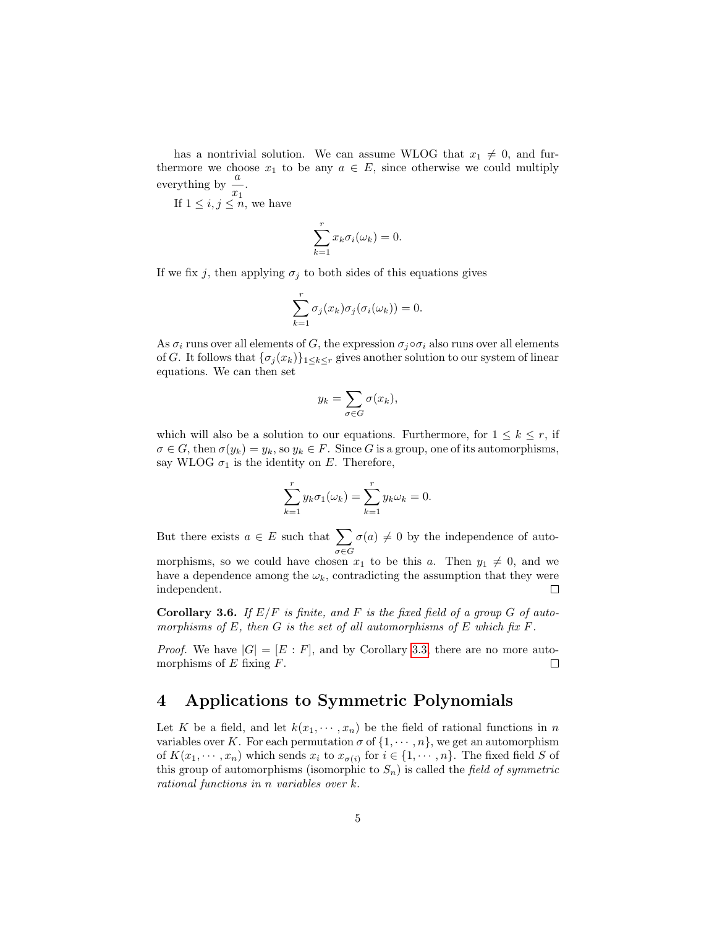has a nontrivial solution. We can assume WLOG that  $x_1 \neq 0$ , and furthermore we choose  $x_1$  to be any  $a \in E$ , since otherwise we could multiply everything by  $\frac{a}{x_1}$ .

If  $1 \leq i, j \leq n$ , we have

$$
\sum_{k=1}^{r} x_k \sigma_i(\omega_k) = 0.
$$

If we fix j, then applying  $\sigma_j$  to both sides of this equations gives

$$
\sum_{k=1}^r \sigma_j(x_k)\sigma_j(\sigma_i(\omega_k)) = 0.
$$

As  $\sigma_i$  runs over all elements of G, the expression  $\sigma_i \circ \sigma_i$  also runs over all elements of G. It follows that  $\{\sigma_j(x_k)\}_{1\leq k\leq r}$  gives another solution to our system of linear equations. We can then set

$$
y_k = \sum_{\sigma \in G} \sigma(x_k),
$$

which will also be a solution to our equations. Furthermore, for  $1 \leq k \leq r$ , if  $\sigma \in G$ , then  $\sigma(y_k) = y_k$ , so  $y_k \in F$ . Since G is a group, one of its automorphisms, say WLOG  $\sigma_1$  is the identity on E. Therefore,

$$
\sum_{k=1}^r y_k \sigma_1(\omega_k) = \sum_{k=1}^r y_k \omega_k = 0.
$$

But there exists  $a \in E$  such that  $\sum$ σ∈G  $\sigma(a) \neq 0$  by the independence of auto-

morphisms, so we could have chosen  $x_1$  to be this a. Then  $y_1 \neq 0$ , and we have a dependence among the  $\omega_k$ , contradicting the assumption that they were independent.  $\Box$ 

<span id="page-4-0"></span>**Corollary 3.6.** If  $E/F$  is finite, and F is the fixed field of a group G of automorphisms of E, then G is the set of all automorphisms of E which fix  $F$ .

*Proof.* We have  $|G| = [E : F]$ , and by Corollary [3.3,](#page-3-0) there are no more automorphisms of  $E$  fixing  $F$ .  $\Box$ 

# 4 Applications to Symmetric Polynomials

Let K be a field, and let  $k(x_1, \dots, x_n)$  be the field of rational functions in n variables over K. For each permutation  $\sigma$  of  $\{1, \dots, n\}$ , we get an automorphism of  $K(x_1, \dots, x_n)$  which sends  $x_i$  to  $x_{\sigma(i)}$  for  $i \in \{1, \dots, n\}$ . The fixed field S of this group of automorphisms (isomorphic to  $S_n$ ) is called the field of symmetric rational functions in n variables over k.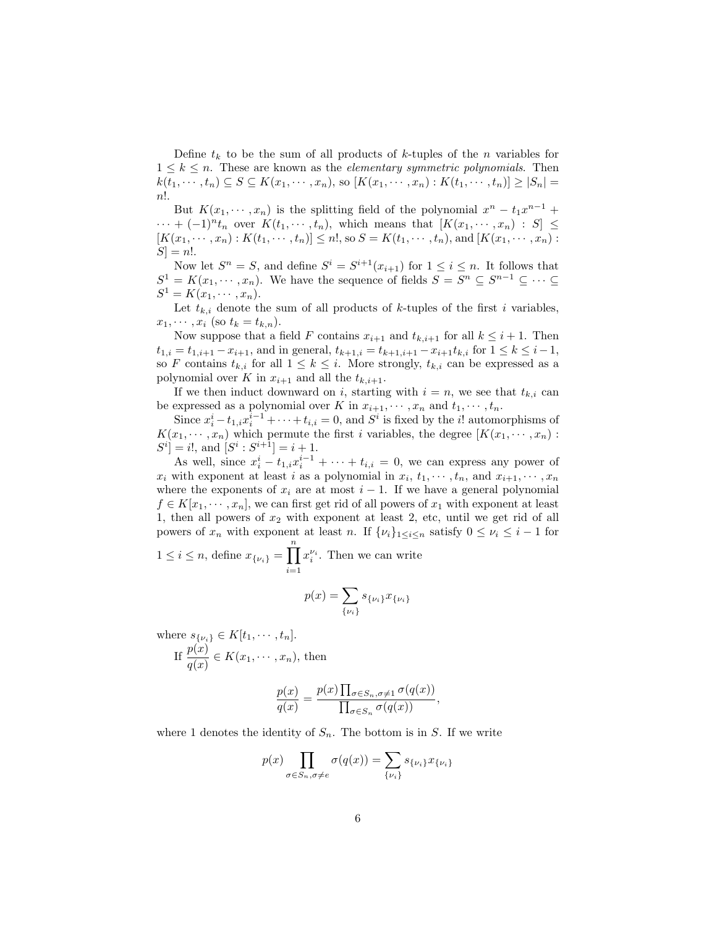Define  $t_k$  to be the sum of all products of k-tuples of the n variables for  $1 \leq k \leq n$ . These are known as the *elementary symmetric polynomials*. Then  $k(t_1,\dots,t_n)\subseteq S\subseteq K(x_1,\dots,x_n)$ , so  $[K(x_1,\dots,x_n):K(t_1,\dots,t_n)]\geq |S_n|=$ n!.

But  $K(x_1, \dots, x_n)$  is the splitting field of the polynomial  $x^n - t_1 x^{n-1} +$  $\cdots + (-1)^n t_n$  over  $K(t_1, \dots, t_n)$ , which means that  $[K(x_1, \dots, x_n) : S] \leq$  $[K(x_1, \dots, x_n): K(t_1, \dots, t_n)] \leq n!,$  so  $S = K(t_1, \dots, t_n)$ , and  $[K(x_1, \dots, x_n):$  $S$  = n!.

Now let  $S^n = S$ , and define  $S^i = S^{i+1}(x_{i+1})$  for  $1 \le i \le n$ . It follows that  $S^1 = K(x_1, \dots, x_n)$ . We have the sequence of fields  $S = S^n \subseteq S^{n-1} \subseteq \dots \subseteq$  $S^1 = K(x_1, \dots, x_n).$ 

Let  $t_{k,i}$  denote the sum of all products of k-tuples of the first i variables,  $x_1, \cdots, x_i$  (so  $t_k = t_{k,n}$ ).

Now suppose that a field F contains  $x_{i+1}$  and  $t_{k,i+1}$  for all  $k \leq i+1$ . Then  $t_{1,i} = t_{1,i+1} - x_{i+1}$ , and in general,  $t_{k+1,i} = t_{k+1,i+1} - x_{i+1}t_{k,i}$  for  $1 \leq k \leq i-1$ , so F contains  $t_{k,i}$  for all  $1 \leq k \leq i$ . More strongly,  $t_{k,i}$  can be expressed as a polynomial over K in  $x_{i+1}$  and all the  $t_{k,i+1}$ .

If we then induct downward on i, starting with  $i = n$ , we see that  $t_{k,i}$  can be expressed as a polynomial over K in  $x_{i+1}, \dots, x_n$  and  $t_1, \dots, t_n$ .

Since  $x_i^i - t_{1,i}x_i^{i-1} + \cdots + t_{i,i} = 0$ , and  $S^i$  is fixed by the *i*! automorphisms of  $K(x_1, \dots, x_n)$  which permute the first *i* variables, the degree  $[K(x_1, \dots, x_n)$ :  $S^i = i!,$  and  $[S^i : S^{i+1}] = i+1.$ 

As well, since  $x_i^i - t_{1,i}x_i^{i-1} + \cdots + t_{i,i} = 0$ , we can express any power of  $x_i$  with exponent at least i as a polynomial in  $x_i, t_1, \dots, t_n$ , and  $x_{i+1}, \dots, x_n$ where the exponents of  $x_i$  are at most  $i - 1$ . If we have a general polynomial  $f \in K[x_1, \dots, x_n]$ , we can first get rid of all powers of  $x_1$  with exponent at least 1, then all powers of  $x_2$  with exponent at least 2, etc, until we get rid of all powers of  $x_n$  with exponent at least n. If  $\{\nu_i\}_{1\leq i\leq n}$  satisfy  $0 \leq \nu_i \leq i-1$  for

$$
1 \leq i \leq n
$$
, define  $x_{\{\nu_i\}} = \prod_{i=1}^n x_i^{\nu_i}$ . Then we can write

$$
p(x) = \sum_{\{\nu_i\}} s_{\{\nu_i\}} x_{\{\nu_i\}}
$$

where  $s_{\{\nu_i\}} \in K[t_1, \cdots, t_n]$ . If  $\frac{p(x)}{q(x)} \in K(x_1, \dots, x_n)$ , then

$$
\frac{p(x)}{q(x)} = \frac{p(x) \prod_{\sigma \in S_n, \sigma \neq 1} \sigma(q(x))}{\prod_{\sigma \in S_n} \sigma(q(x))},
$$

where 1 denotes the identity of  $S_n$ . The bottom is in S. If we write

$$
p(x)\prod_{\sigma\in S_n, \sigma\neq e} \sigma(q(x)) = \sum_{\{\nu_i\}} s_{\{\nu_i\}} x_{\{\nu_i\}}
$$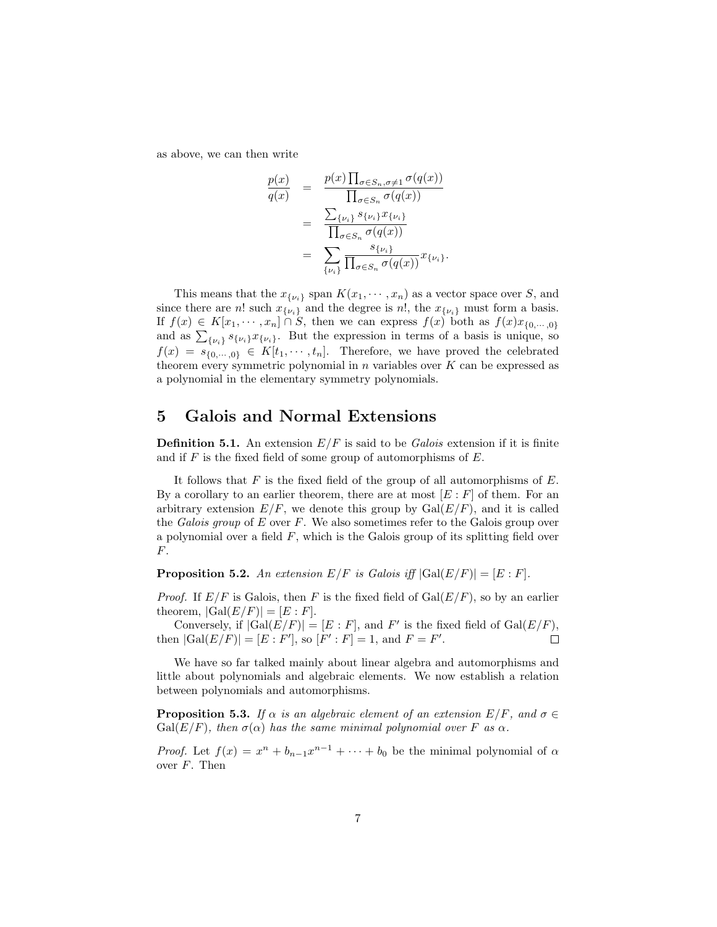as above, we can then write

$$
\frac{p(x)}{q(x)} = \frac{p(x) \prod_{\sigma \in S_n, \sigma \neq 1} \sigma(q(x))}{\prod_{\sigma \in S_n} \sigma(q(x))}
$$

$$
= \frac{\sum_{\{\nu_i\}} s_{\{\nu_i\}} x_{\{\nu_i\}}}{\prod_{\sigma \in S_n} \sigma(q(x))}
$$

$$
= \sum_{\{\nu_i\}} \frac{s_{\{\nu_i\}}}{\prod_{\sigma \in S_n} \sigma(q(x))} x_{\{\nu_i\}}.
$$

This means that the  $x_{\{\nu_i\}}$  span  $K(x_1, \dots, x_n)$  as a vector space over S, and since there are n! such  $x_{\{\nu_i\}}$  and the degree is n!, the  $x_{\{\nu_i\}}$  must form a basis. If  $f(x) \in K[x_1, \dots, x_n] \cap S$ , then we can express  $f(x)$  both as  $f(x)x_{0,\dots,0}$ and as  $\sum_{\{\nu_i\}} s_{\{\nu_i\}} x_{\{\nu_i\}}$ . But the expression in terms of a basis is unique, so  $f(x) = s_{\{0,\dots,0\}} \in K[t_1,\dots, t_n].$  Therefore, we have proved the celebrated theorem every symmetric polynomial in  $n$  variables over  $K$  can be expressed as a polynomial in the elementary symmetry polynomials.

### 5 Galois and Normal Extensions

**Definition 5.1.** An extension  $E/F$  is said to be *Galois* extension if it is finite and if  $F$  is the fixed field of some group of automorphisms of  $E$ .

It follows that  $F$  is the fixed field of the group of all automorphisms of  $E$ . By a corollary to an earlier theorem, there are at most  $[E : F]$  of them. For an arbitrary extension  $E/F$ , we denote this group by  $Gal(E/F)$ , and it is called the Galois group of  $E$  over  $F$ . We also sometimes refer to the Galois group over a polynomial over a field  $F$ , which is the Galois group of its splitting field over F.

**Proposition 5.2.** An extension  $E/F$  is Galois iff  $|Gal(E/F)| = [E : F]$ .

*Proof.* If  $E/F$  is Galois, then F is the fixed field of  $Gal(E/F)$ , so by an earlier theorem,  $|Gal(E/F)| = [E : F].$ 

Conversely, if  $|Gal(E/F)| = [E : F]$ , and F' is the fixed field of  $Gal(E/F)$ , then  $|Gal(E/F)| = [E : F'],$  so  $[F' : F] = 1$ , and  $F = F'.$  $\Box$ 

We have so far talked mainly about linear algebra and automorphisms and little about polynomials and algebraic elements. We now establish a relation between polynomials and automorphisms.

**Proposition 5.3.** If  $\alpha$  is an algebraic element of an extension  $E/F$ , and  $\sigma \in$ Gal( $E/F$ ), then  $\sigma(\alpha)$  has the same minimal polynomial over F as  $\alpha$ .

*Proof.* Let  $f(x) = x^n + b_{n-1}x^{n-1} + \cdots + b_0$  be the minimal polynomial of  $\alpha$ over  $F$ . Then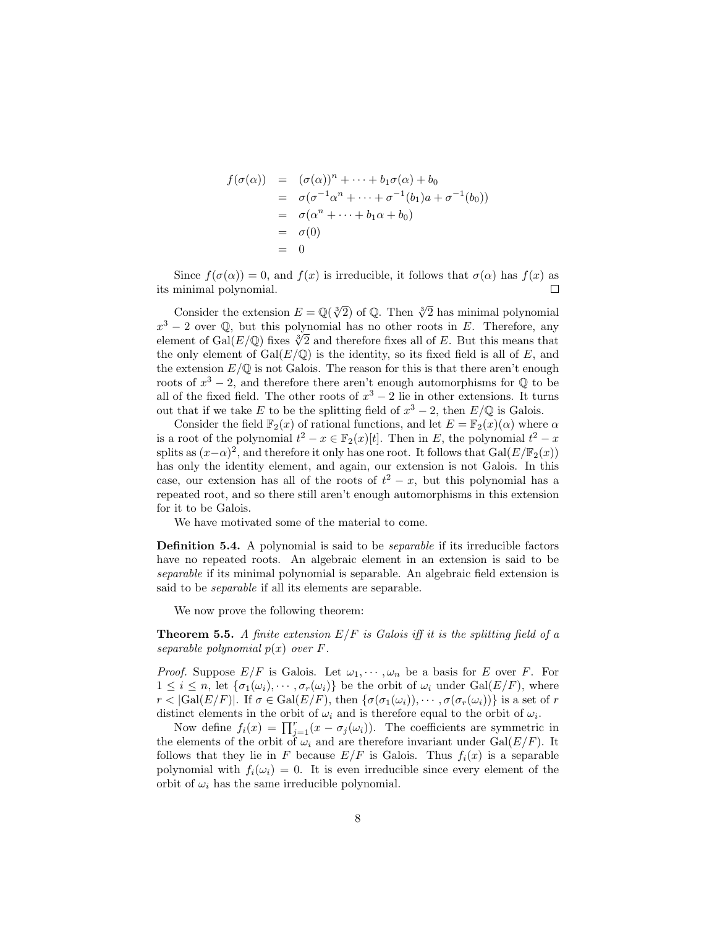$$
f(\sigma(\alpha)) = (\sigma(\alpha))^n + \dots + b_1 \sigma(\alpha) + b_0
$$
  
=  $\sigma(\sigma^{-1} \alpha^n + \dots + \sigma^{-1} (b_1) a + \sigma^{-1} (b_0))$   
=  $\sigma(\alpha^n + \dots + b_1 \alpha + b_0)$   
=  $\sigma(0)$   
= 0

Since  $f(\sigma(\alpha)) = 0$ , and  $f(x)$  is irreducible, it follows that  $\sigma(\alpha)$  has  $f(x)$  as its minimal polynomial.  $\Box$ 

Consider the extension  $E = \mathbb{Q}(\sqrt[3]{2})$  of  $\mathbb{Q}$ . Then  $\sqrt[3]{2}$  has minimal polynomial  $x^3 - 2$  over Q, but this polynomial has no other roots in E. Therefore, any  $x^3 - 2$  over  $\mathbb{Q}$ , but this polynomial has no other roots in E. Therefore, any element of Gal(E/ $\mathbb{Q}$ ) fixes  $\sqrt[3]{2}$  and therefore fixes all of E. But this means that the only element of  $Gal(E/\mathbb{Q})$  is the identity, so its fixed field is all of E, and the extension  $E/\mathbb{Q}$  is not Galois. The reason for this is that there aren't enough roots of  $x^3 - 2$ , and therefore there aren't enough automorphisms for  $\mathbb Q$  to be all of the fixed field. The other roots of  $x^3 - 2$  lie in other extensions. It turns out that if we take E to be the splitting field of  $x^3 - 2$ , then  $E/\mathbb{Q}$  is Galois.

Consider the field  $\mathbb{F}_2(x)$  of rational functions, and let  $E = \mathbb{F}_2(x)(\alpha)$  where  $\alpha$ is a root of the polynomial  $t^2 - x \in \mathbb{F}_2(x)[t]$ . Then in E, the polynomial  $t^2 - x$ splits as  $(x-\alpha)^2$ , and therefore it only has one root. It follows that  $Gal(E/\mathbb{F}_2(x))$ has only the identity element, and again, our extension is not Galois. In this case, our extension has all of the roots of  $t^2 - x$ , but this polynomial has a repeated root, and so there still aren't enough automorphisms in this extension for it to be Galois.

We have motivated some of the material to come.

Definition 5.4. A polynomial is said to be *separable* if its irreducible factors have no repeated roots. An algebraic element in an extension is said to be separable if its minimal polynomial is separable. An algebraic field extension is said to be separable if all its elements are separable.

We now prove the following theorem:

**Theorem 5.5.** A finite extension  $E/F$  is Galois iff it is the splitting field of a separable polynomial  $p(x)$  over  $F$ .

*Proof.* Suppose  $E/F$  is Galois. Let  $\omega_1, \dots, \omega_n$  be a basis for E over F. For  $1 \leq i \leq n$ , let  $\{\sigma_1(\omega_i), \cdots, \sigma_r(\omega_i)\}\$ be the orbit of  $\omega_i$  under  $Gal(E/F)$ , where  $r < |Gal(E/F)|$ . If  $\sigma \in Gal(E/F)$ , then  $\{\sigma(\sigma_1(\omega_i)), \cdots, \sigma(\sigma_r(\omega_i))\}$  is a set of r distinct elements in the orbit of  $\omega_i$  and is therefore equal to the orbit of  $\omega_i$ .

Now define  $f_i(x) = \prod_{j=1}^r (x - \sigma_j(\omega_i))$ . The coefficients are symmetric in the elements of the orbit of  $\omega_i$  and are therefore invariant under Gal( $E/F$ ). It follows that they lie in F because  $E/F$  is Galois. Thus  $f_i(x)$  is a separable polynomial with  $f_i(\omega_i) = 0$ . It is even irreducible since every element of the orbit of  $\omega_i$  has the same irreducible polynomial.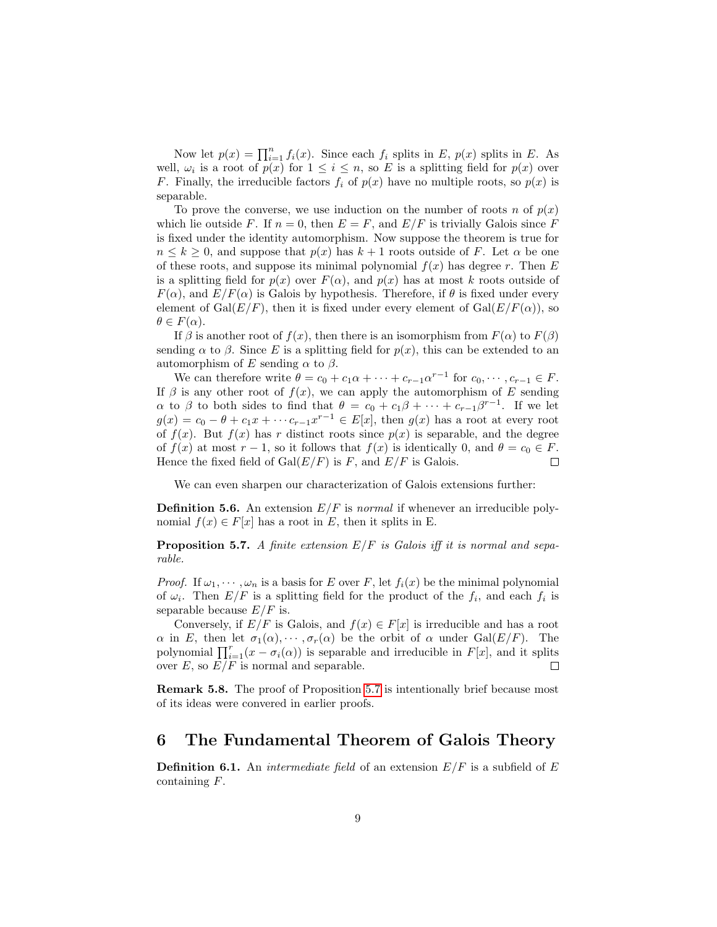Now let  $p(x) = \prod_{i=1}^{n} f_i(x)$ . Since each  $f_i$  splits in E,  $p(x)$  splits in E. As well,  $\omega_i$  is a root of  $p(x)$  for  $1 \leq i \leq n$ , so E is a splitting field for  $p(x)$  over F. Finally, the irreducible factors  $f_i$  of  $p(x)$  have no multiple roots, so  $p(x)$  is separable.

To prove the converse, we use induction on the number of roots n of  $p(x)$ which lie outside F. If  $n = 0$ , then  $E = F$ , and  $E/F$  is trivially Galois since F is fixed under the identity automorphism. Now suppose the theorem is true for  $n \leq k \geq 0$ , and suppose that  $p(x)$  has  $k+1$  roots outside of F. Let  $\alpha$  be one of these roots, and suppose its minimal polynomial  $f(x)$  has degree r. Then E is a splitting field for  $p(x)$  over  $F(\alpha)$ , and  $p(x)$  has at most k roots outside of  $F(\alpha)$ , and  $E/F(\alpha)$  is Galois by hypothesis. Therefore, if  $\theta$  is fixed under every element of Gal $(E/F)$ , then it is fixed under every element of Gal $(E/F(\alpha))$ , so  $\theta \in F(\alpha)$ .

If  $\beta$  is another root of  $f(x)$ , then there is an isomorphism from  $F(\alpha)$  to  $F(\beta)$ sending  $\alpha$  to  $\beta$ . Since E is a splitting field for  $p(x)$ , this can be extended to an automorphism of E sending  $\alpha$  to  $\beta$ .

We can therefore write  $\theta = c_0 + c_1 \alpha + \cdots + c_{r-1} \alpha^{r-1}$  for  $c_0, \cdots, c_{r-1} \in F$ . If  $\beta$  is any other root of  $f(x)$ , we can apply the automorphism of E sending  $\alpha$  to  $\beta$  to both sides to find that  $\theta = c_0 + c_1\beta + \cdots + c_{r-1}\beta^{r-1}$ . If we let  $g(x) = c_0 - \theta + c_1 x + \cdots + c_{r-1} x^{r-1} \in E[x]$ , then  $g(x)$  has a root at every root of  $f(x)$ . But  $f(x)$  has r distinct roots since  $p(x)$  is separable, and the degree of  $f(x)$  at most  $r-1$ , so it follows that  $f(x)$  is identically 0, and  $\theta = c_0 \in F$ . Hence the fixed field of  $Gal(E/F)$  is F, and  $E/F$  is Galois.  $\Box$ 

We can even sharpen our characterization of Galois extensions further:

**Definition 5.6.** An extension  $E/F$  is normal if whenever an irreducible polynomial  $f(x) \in F[x]$  has a root in E, then it splits in E.

<span id="page-8-0"></span>**Proposition 5.7.** A finite extension  $E/F$  is Galois iff it is normal and separable.

*Proof.* If  $\omega_1, \dots, \omega_n$  is a basis for E over F, let  $f_i(x)$  be the minimal polynomial of  $\omega_i$ . Then  $E/F$  is a splitting field for the product of the  $f_i$ , and each  $f_i$  is separable because  $E/F$  is.

Conversely, if  $E/F$  is Galois, and  $f(x) \in F[x]$  is irreducible and has a root  $\alpha$  in E, then let  $\sigma_1(\alpha), \cdots, \sigma_r(\alpha)$  be the orbit of  $\alpha$  under Gal(E/F). The polynomial  $\prod_{i=1}^r(x-\sigma_i(\alpha))$  is separable and irreducible in  $F[x]$ , and it splits over  $E$ , so  $E/F$  is normal and separable.

Remark 5.8. The proof of Proposition [5.7](#page-8-0) is intentionally brief because most of its ideas were convered in earlier proofs.

# 6 The Fundamental Theorem of Galois Theory

**Definition 6.1.** An *intermediate field* of an extension  $E/F$  is a subfield of E containing F.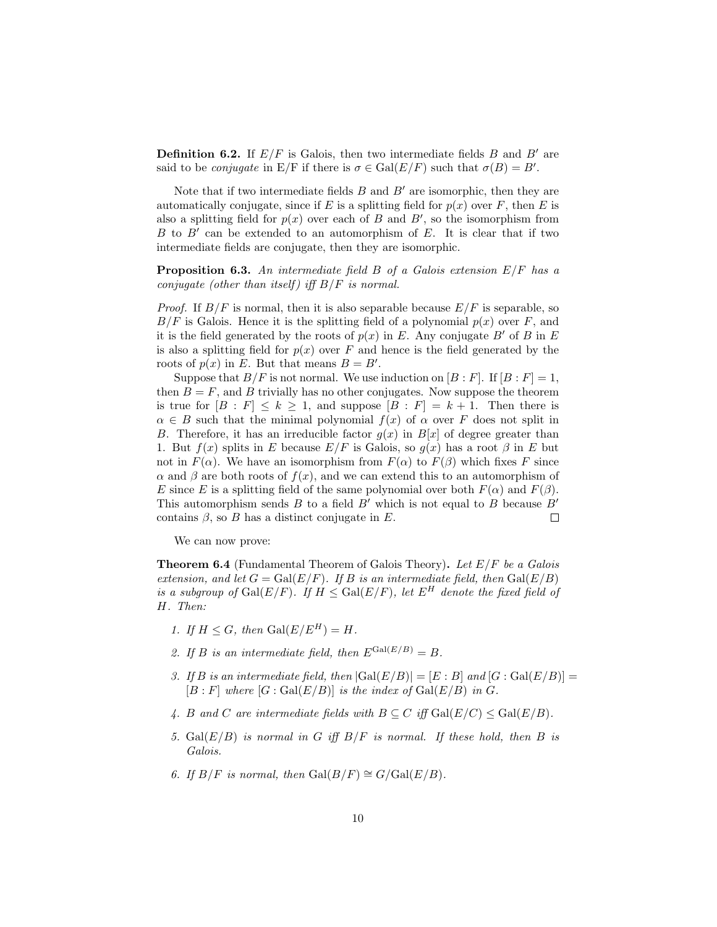**Definition 6.2.** If  $E/F$  is Galois, then two intermediate fields B and B' are said to be *conjugate* in  $E/F$  if there is  $\sigma \in Gal(E/F)$  such that  $\sigma(B) = B'$ .

Note that if two intermediate fields  $B$  and  $B'$  are isomorphic, then they are automatically conjugate, since if E is a splitting field for  $p(x)$  over F, then E is also a splitting field for  $p(x)$  over each of B and B', so the isomorphism from  $B$  to  $B'$  can be extended to an automorphism of  $E$ . It is clear that if two intermediate fields are conjugate, then they are isomorphic.

<span id="page-9-0"></span>**Proposition 6.3.** An intermediate field  $B$  of a Galois extension  $E/F$  has a conjugate (other than itself) iff  $B/F$  is normal.

*Proof.* If  $B/F$  is normal, then it is also separable because  $E/F$  is separable, so  $B/F$  is Galois. Hence it is the splitting field of a polynomial  $p(x)$  over F, and it is the field generated by the roots of  $p(x)$  in E. Any conjugate B' of B in E is also a splitting field for  $p(x)$  over F and hence is the field generated by the roots of  $p(x)$  in E. But that means  $B = B'$ .

Suppose that  $B/F$  is not normal. We use induction on  $[B:F]$ . If  $[B:F] = 1$ , then  $B = F$ , and B trivially has no other conjugates. Now suppose the theorem is true for  $[B : F] \leq k \geq 1$ , and suppose  $[B : F] = k + 1$ . Then there is  $\alpha \in B$  such that the minimal polynomial  $f(x)$  of  $\alpha$  over F does not split in B. Therefore, it has an irreducible factor  $g(x)$  in  $B[x]$  of degree greater than 1. But  $f(x)$  splits in E because  $E/F$  is Galois, so  $g(x)$  has a root  $\beta$  in E but not in  $F(\alpha)$ . We have an isomorphism from  $F(\alpha)$  to  $F(\beta)$  which fixes F since  $\alpha$  and  $\beta$  are both roots of  $f(x)$ , and we can extend this to an automorphism of E since E is a splitting field of the same polynomial over both  $F(\alpha)$  and  $F(\beta)$ . This automorphism sends B to a field B' which is not equal to B because  $B'$ contains  $\beta$ , so B has a distinct conjugate in E.  $\Box$ 

We can now prove:

**Theorem 6.4** (Fundamental Theorem of Galois Theory). Let  $E/F$  be a Galois extension, and let  $G = \text{Gal}(E/F)$ . If B is an intermediate field, then  $\text{Gal}(E/B)$ is a subgroup of  $Gal(E/F)$ . If  $H \leq Gal(E/F)$ , let  $E^H$  denote the fixed field of H. Then:

- 1. If  $H \leq G$ , then  $Gal(E/E^H) = H$ .
- 2. If B is an intermediate field, then  $E^{\text{Gal}(E/B)} = B$ .
- 3. If B is an intermediate field, then  $|Gal(E/B)| = [E : B]$  and  $[G : Gal(E/B)] =$  $[B : F]$  where  $[G : \text{Gal}(E/B)]$  is the index of  $\text{Gal}(E/B)$  in  $G$ .
- 4. B and C are intermediate fields with  $B \subseteq C$  iff  $Gal(E/C) \le Gal(E/B)$ .
- 5. Gal $(E/B)$  is normal in G iff  $B/F$  is normal. If these hold, then B is Galois.
- 6. If  $B/F$  is normal, then  $Gal(B/F) \cong G/Gal(E/B)$ .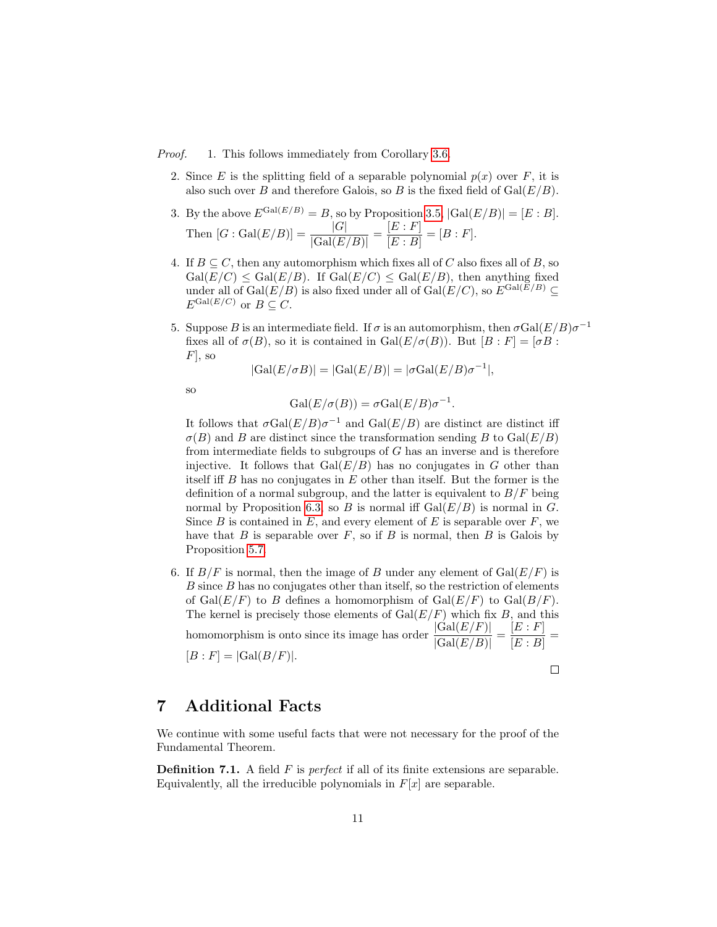Proof. 1. This follows immediately from Corollary [3.6.](#page-4-0)

2. Since E is the splitting field of a separable polynomial  $p(x)$  over F, it is also such over B and therefore Galois, so B is the fixed field of  $Gal(E/B)$ .

3. By the above 
$$
E^{\text{Gal}(E/B)} = B
$$
, so by Proposition 3.5,  $|\text{Gal}(E/B)| = [E : B]$ .  
Then  $[G : \text{Gal}(E/B)] = \frac{|G|}{|\text{Gal}(E/B)|} = \frac{[E : F]}{[E : B]} = [B : F]$ .

- 4. If  $B \subseteq C$ , then any automorphism which fixes all of C also fixes all of B, so  $Gal(E/C) \le Gal(E/B)$ . If  $Gal(E/C) \le Gal(E/B)$ , then anything fixed under all of  $Gal(E/B)$  is also fixed under all of  $Gal(E/C)$ , so  $E^{Gal(E/B)} \subseteq$  $E^{\operatorname{Gal}(E/C)}$  or  $B\subseteq C$ .
- 5. Suppose B is an intermediate field. If  $\sigma$  is an automorphism, then  $\sigma Gal(E/B)\sigma^{-1}$ fixes all of  $\sigma(B)$ , so it is contained in Gal $(E/\sigma(B))$ . But  $[B : F] = [\sigma B :$  $F<sub>1</sub>$ , so

$$
|\text{Gal}(E/\sigma B)| = |\text{Gal}(E/B)| = |\sigma \text{Gal}(E/B)\sigma^{-1}|,
$$

so

$$
\operatorname{Gal}(E/\sigma(B)) = \sigma \operatorname{Gal}(E/B)\sigma^{-1}.
$$

It follows that  $\sigma \text{Gal}(E/B) \sigma^{-1}$  and  $\text{Gal}(E/B)$  are distinct are distinct iff  $\sigma(B)$  and B are distinct since the transformation sending B to Gal( $E/B$ ) from intermediate fields to subgroups of  $G$  has an inverse and is therefore injective. It follows that  $Gal(E/B)$  has no conjugates in G other than itself iff  $B$  has no conjugates in  $E$  other than itself. But the former is the definition of a normal subgroup, and the latter is equivalent to  $B/F$  being normal by Proposition [6.3,](#page-9-0) so B is normal iff  $Gal(E/B)$  is normal in G. Since  $B$  is contained in  $E$ , and every element of  $E$  is separable over  $F$ , we have that  $B$  is separable over  $F$ , so if  $B$  is normal, then  $B$  is Galois by Proposition [5.7.](#page-8-0)

6. If  $B/F$  is normal, then the image of B under any element of  $Gal(E/F)$  is  $B$  since  $B$  has no conjugates other than itself, so the restriction of elements of  $Gal(E/F)$  to B defines a homomorphism of  $Gal(E/F)$  to  $Gal(B/F)$ . The kernel is precisely those elements of  $Gal(E/F)$  which fix B, and this homomorphism is onto since its image has order  $\frac{|\text{Gal}(E/F)|}{|\text{Gal}(E/B)|} = \frac{[E:F]}{[E:B]}$  $\frac{[B \cdot 1]}{[E:B]} =$  $[B : F] = |Gal(B/F)|.$  $\Box$ 

# 7 Additional Facts

We continue with some useful facts that were not necessary for the proof of the Fundamental Theorem.

**Definition 7.1.** A field  $F$  is *perfect* if all of its finite extensions are separable. Equivalently, all the irreducible polynomials in  $F[x]$  are separable.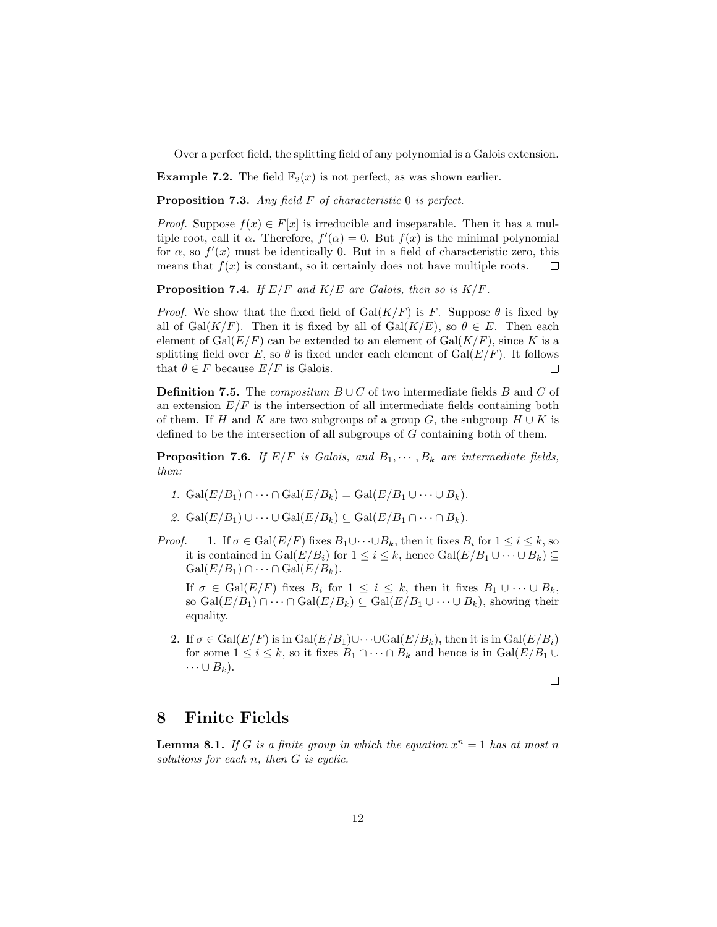Over a perfect field, the splitting field of any polynomial is a Galois extension.

**Example 7.2.** The field  $\mathbb{F}_2(x)$  is not perfect, as was shown earlier.

Proposition 7.3. Any field F of characteristic 0 is perfect.

*Proof.* Suppose  $f(x) \in F[x]$  is irreducible and inseparable. Then it has a multiple root, call it  $\alpha$ . Therefore,  $f'(\alpha) = 0$ . But  $f(x)$  is the minimal polynomial for  $\alpha$ , so  $f'(x)$  must be identically 0. But in a field of characteristic zero, this means that  $f(x)$  is constant, so it certainly does not have multiple roots.  $\Box$ 

<span id="page-11-0"></span>**Proposition 7.4.** If  $E/F$  and  $K/E$  are Galois, then so is  $K/F$ .

*Proof.* We show that the fixed field of  $Gal(K/F)$  is F. Suppose  $\theta$  is fixed by all of  $Gal(K/F)$ . Then it is fixed by all of  $Gal(K/E)$ , so  $\theta \in E$ . Then each element of  $Gal(E/F)$  can be extended to an element of  $Gal(K/F)$ , since K is a splitting field over E, so  $\theta$  is fixed under each element of  $Gal(E/F)$ . It follows that  $\theta \in F$  because  $E/F$  is Galois.  $\Box$ 

**Definition 7.5.** The *compositum*  $B \cup C$  of two intermediate fields B and C of an extension  $E/F$  is the intersection of all intermediate fields containing both of them. If H and K are two subgroups of a group G, the subgroup  $H \cup K$  is defined to be the intersection of all subgroups of G containing both of them.

**Proposition 7.6.** If  $E/F$  is Galois, and  $B_1, \dots, B_k$  are intermediate fields, then:

- 1. Gal $(E/B_1) \cap \cdots \cap Gal(E/B_k) = Gal(E/B_1 \cup \cdots \cup B_k).$
- 2. Gal $(E/B_1) \cup \cdots \cup$  Gal $(E/B_k) \subset$  Gal $(E/B_1 \cap \cdots \cap B_k)$ .
- *Proof.* 1. If  $\sigma \in \text{Gal}(E/F)$  fixes  $B_1 \cup \cdots \cup B_k$ , then it fixes  $B_i$  for  $1 \leq i \leq k$ , so it is contained in  $Gal(E/B_i)$  for  $1 \leq i \leq k$ , hence  $Gal(E/B_1 \cup \cdots \cup B_k) \subseteq$  $Gal(E/B_1) \cap \cdots \cap Gal(E/B_k).$

If  $\sigma \in \text{Gal}(E/F)$  fixes  $B_i$  for  $1 \leq i \leq k$ , then it fixes  $B_1 \cup \cdots \cup B_k$ , so  $Gal(E/B_1) \cap \cdots \cap Gal(E/B_k) \subseteq Gal(E/B_1 \cup \cdots \cup B_k)$ , showing their equality.

2. If  $\sigma \in \text{Gal}(E/F)$  is in  $\text{Gal}(E/B_1) \cup \cdots \cup \text{Gal}(E/B_k)$ , then it is in  $\text{Gal}(E/B_i)$ for some  $1 \leq i \leq k$ , so it fixes  $B_1 \cap \cdots \cap B_k$  and hence is in  $Gal(E/B_1 \cup$  $\cdots \cup B_k$ ).

 $\Box$ 

### 8 Finite Fields

**Lemma 8.1.** If G is a finite group in which the equation  $x^n = 1$  has at most n solutions for each n, then G is cyclic.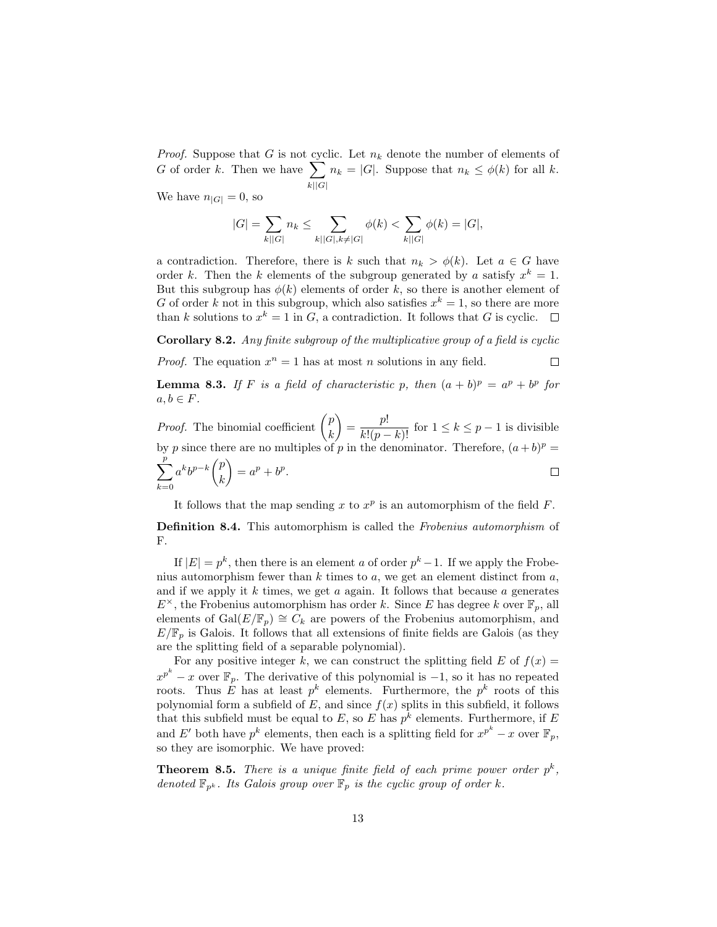*Proof.* Suppose that G is not cyclic. Let  $n_k$  denote the number of elements of G of order k. Then we have  $\sum$  $k||G|$  $n_k = |G|$ . Suppose that  $n_k \leq \phi(k)$  for all k.

We have  $n_{|G|} = 0$ , so

$$
|G| = \sum_{k||G|} n_k \le \sum_{k||G|, k \neq |G|} \phi(k) < \sum_{k||G|} \phi(k) = |G|
$$

a contradiction. Therefore, there is k such that  $n_k > \phi(k)$ . Let  $a \in G$  have order k. Then the k elements of the subgroup generated by a satisfy  $x^k = 1$ . But this subgroup has  $\phi(k)$  elements of order k, so there is another element of G of order k not in this subgroup, which also satisfies  $x^k = 1$ , so there are more than k solutions to  $x^k = 1$  in G, a contradiction. It follows that G is cyclic.

<span id="page-12-0"></span>Corollary 8.2. Any finite subgroup of the multiplicative group of a field is cyclic

*Proof.* The equation  $x^n = 1$  has at most n solutions in any field.  $\Box$ 

**Lemma 8.3.** If F is a field of characteristic p, then  $(a + b)^p = a^p + b^p$  for  $a, b \in F$ .

*Proof.* The binomial coefficient  $\binom{p}{p}$  $\binom{p!}{k! (p-k)!}$  for  $1 \leq k \leq p-1$  is divisible k by p since there are no multiples of p in the denominator. Therefore,  $(a + b)^p =$  $\sum_{i=1}^{p}$  $a^k b^{p-k} \begin{pmatrix} p \\ p \end{pmatrix}$  $= a^p + b^p.$  $\Box$ k  $k=0$ 

It follows that the map sending x to  $x^p$  is an automorphism of the field F.

Definition 8.4. This automorphism is called the Frobenius automorphism of F.

If  $|E| = p^k$ , then there is an element a of order  $p^k - 1$ . If we apply the Frobenius automorphism fewer than  $k$  times to  $a$ , we get an element distinct from  $a$ , and if we apply it  $k$  times, we get  $a$  again. It follows that because  $a$  generates  $E^{\times}$ , the Frobenius automorphism has order k. Since E has degree k over  $\mathbb{F}_p$ , all elements of Gal $(E/\mathbb{F}_p) \cong C_k$  are powers of the Frobenius automorphism, and  $E/\mathbb{F}_p$  is Galois. It follows that all extensions of finite fields are Galois (as they are the splitting field of a separable polynomial).

For any positive integer k, we can construct the splitting field  $E$  of  $f(x) =$  $x^{p^k} - x$  over  $\mathbb{F}_p$ . The derivative of this polynomial is  $-1$ , so it has no repeated roots. Thus E has at least  $p^k$  elements. Furthermore, the  $p^k$  roots of this polynomial form a subfield of  $E$ , and since  $f(x)$  splits in this subfield, it follows that this subfield must be equal to E, so E has  $p^k$  elements. Furthermore, if E and E' both have  $p^k$  elements, then each is a splitting field for  $x^{p^k} - x$  over  $\mathbb{F}_p$ , so they are isomorphic. We have proved:

**Theorem 8.5.** There is a unique finite field of each prime power order  $p^k$ , denoted  $\mathbb{F}_{p^k}$ . Its Galois group over  $\mathbb{F}_p$  is the cyclic group of order k.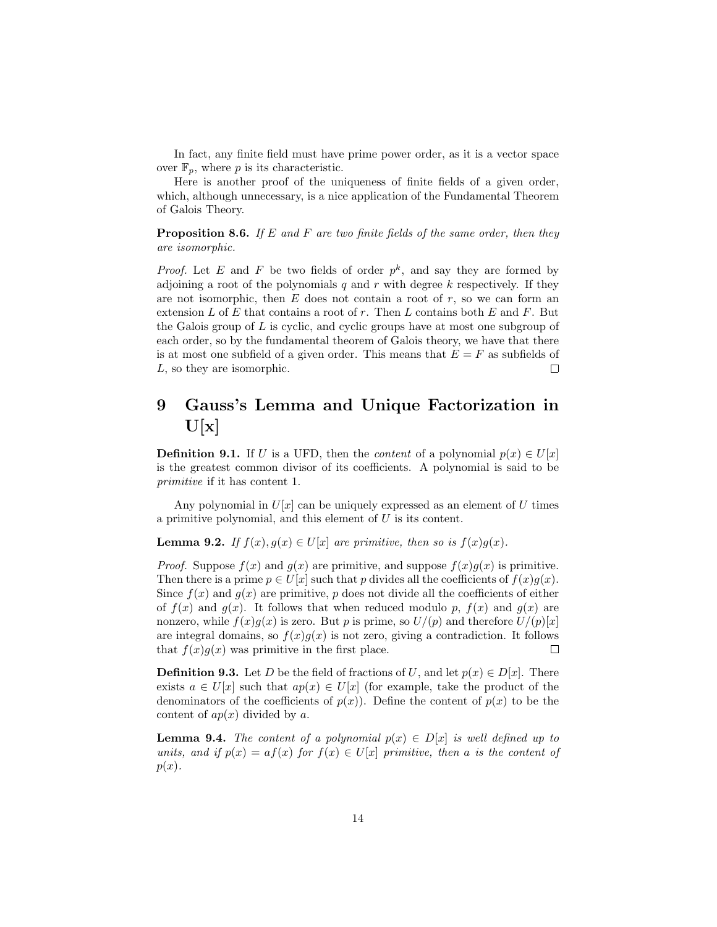In fact, any finite field must have prime power order, as it is a vector space over  $\mathbb{F}_p$ , where p is its characteristic.

Here is another proof of the uniqueness of finite fields of a given order, which, although unnecessary, is a nice application of the Fundamental Theorem of Galois Theory.

**Proposition 8.6.** If E and F are two finite fields of the same order, then they are isomorphic.

*Proof.* Let E and F be two fields of order  $p^k$ , and say they are formed by adjoining a root of the polynomials q and r with degree k respectively. If they are not isomorphic, then  $E$  does not contain a root of  $r$ , so we can form an extension L of E that contains a root of r. Then L contains both  $E$  and  $F$ . But the Galois group of  $L$  is cyclic, and cyclic groups have at most one subgroup of each order, so by the fundamental theorem of Galois theory, we have that there is at most one subfield of a given order. This means that  $E = F$  as subfields of L, so they are isomorphic.  $\Box$ 

# 9 Gauss's Lemma and Unique Factorization in  $U[x]$

**Definition 9.1.** If U is a UFD, then the *content* of a polynomial  $p(x) \in U[x]$ is the greatest common divisor of its coefficients. A polynomial is said to be primitive if it has content 1.

Any polynomial in  $U[x]$  can be uniquely expressed as an element of U times a primitive polynomial, and this element of U is its content.

**Lemma 9.2.** If  $f(x), g(x) \in U[x]$  are primitive, then so is  $f(x)g(x)$ .

*Proof.* Suppose  $f(x)$  and  $g(x)$  are primitive, and suppose  $f(x)g(x)$  is primitive. Then there is a prime  $p \in U[x]$  such that p divides all the coefficients of  $f(x)g(x)$ . Since  $f(x)$  and  $g(x)$  are primitive, p does not divide all the coefficients of either of  $f(x)$  and  $g(x)$ . It follows that when reduced modulo p,  $f(x)$  and  $g(x)$  are nonzero, while  $f(x)g(x)$  is zero. But p is prime, so  $U/(p)$  and therefore  $U/(p)[x]$ are integral domains, so  $f(x)g(x)$  is not zero, giving a contradiction. It follows that  $f(x)g(x)$  was primitive in the first place.  $\Box$ 

**Definition 9.3.** Let D be the field of fractions of U, and let  $p(x) \in D[x]$ . There exists  $a \in U[x]$  such that  $ap(x) \in U[x]$  (for example, take the product of the denominators of the coefficients of  $p(x)$ ). Define the content of  $p(x)$  to be the content of  $ap(x)$  divided by a.

**Lemma 9.4.** The content of a polynomial  $p(x) \in D[x]$  is well defined up to units, and if  $p(x) = af(x)$  for  $f(x) \in U[x]$  primitive, then a is the content of  $p(x)$ .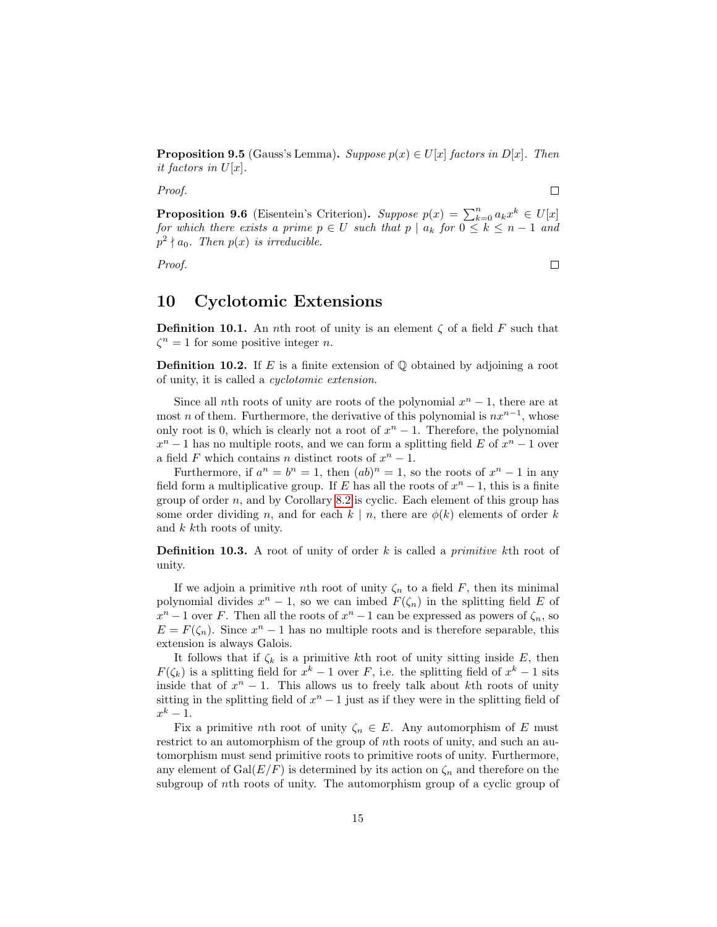**Proposition 9.5** (Gauss's Lemma). Suppose  $p(x) \in U[x]$  factors in D[x]. Then it factors in  $U[x]$ .

Proof.

 $\Box$ 

 $\Box$ 

**Proposition 9.6** (Eisentein's Criterion). Suppose  $p(x) = \sum_{k=0}^{n} a_k x^k \in U[x]$ for which there exists a prime  $p \in U$  such that  $p \mid a_k$  for  $0 \leq k \leq n-1$  and  $p^2 \nmid a_0$ . Then  $p(x)$  is irreducible.

Proof.

### 10 Cyclotomic Extensions

**Definition 10.1.** An nth root of unity is an element  $\zeta$  of a field F such that  $\zeta^n = 1$  for some positive integer *n*.

**Definition 10.2.** If E is a finite extension of  $\mathbb{Q}$  obtained by adjoining a root of unity, it is called a cyclotomic extension.

Since all nth roots of unity are roots of the polynomial  $x<sup>n</sup> - 1$ , there are at most *n* of them. Furthermore, the derivative of this polynomial is  $nx^{n-1}$ , whose only root is 0, which is clearly not a root of  $x<sup>n</sup> - 1$ . Therefore, the polynomial  $x^n - 1$  has no multiple roots, and we can form a splitting field E of  $x^n - 1$  over a field F which contains n distinct roots of  $x^n - 1$ .

Furthermore, if  $a^n = b^n = 1$ , then  $(ab)^n = 1$ , so the roots of  $x^n - 1$  in any field form a multiplicative group. If E has all the roots of  $x<sup>n</sup> - 1$ , this is a finite group of order  $n$ , and by Corollary [8.2](#page-12-0) is cyclic. Each element of this group has some order dividing n, and for each  $k \mid n$ , there are  $\phi(k)$  elements of order k and  $k$  kth roots of unity.

**Definition 10.3.** A root of unity of order  $k$  is called a *primitive*  $k$ th root of unity.

If we adjoin a primitive nth root of unity  $\zeta_n$  to a field F, then its minimal polynomial divides  $x^n - 1$ , so we can imbed  $F(\zeta_n)$  in the splitting field E of  $x<sup>n</sup> - 1$  over F. Then all the roots of  $x<sup>n</sup> - 1$  can be expressed as powers of  $\zeta_n$ , so  $E = F(\zeta_n)$ . Since  $x^n - 1$  has no multiple roots and is therefore separable, this extension is always Galois.

It follows that if  $\zeta_k$  is a primitive kth root of unity sitting inside E, then  $F(\zeta_k)$  is a splitting field for  $x^k - 1$  over F, i.e. the splitting field of  $x^k - 1$  sits inside that of  $x^n - 1$ . This allows us to freely talk about kth roots of unity sitting in the splitting field of  $x<sup>n</sup> - 1$  just as if they were in the splitting field of  $x^k-1$ .

Fix a primitive nth root of unity  $\zeta_n \in E$ . Any automorphism of E must restrict to an automorphism of the group of nth roots of unity, and such an automorphism must send primitive roots to primitive roots of unity. Furthermore, any element of  $Gal(E/F)$  is determined by its action on  $\zeta_n$  and therefore on the subgroup of nth roots of unity. The automorphism group of a cyclic group of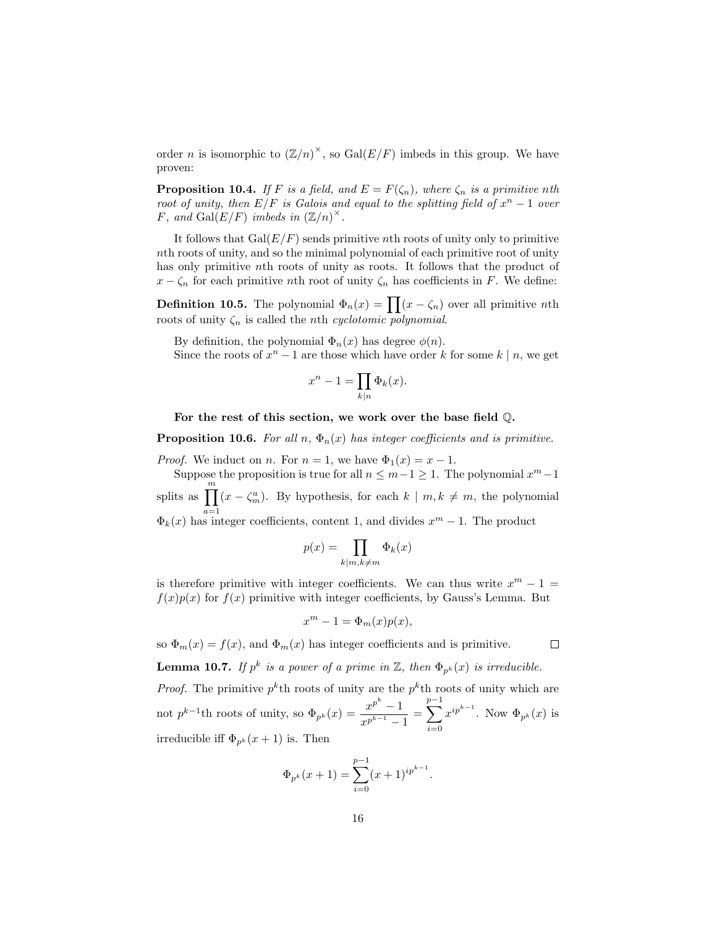order *n* is isomorphic to  $(\mathbb{Z}/n)^{\times}$ , so  $Gal(E/F)$  imbeds in this group. We have proven:

<span id="page-15-0"></span>**Proposition 10.4.** If F is a field, and  $E = F(\zeta_n)$ , where  $\zeta_n$  is a primitive nth root of unity, then  $E/F$  is Galois and equal to the splitting field of  $x<sup>n</sup> - 1$  over F, and Gal $(E/F)$  imbeds in  $(\mathbb{Z}/n)^{\times}$ .

It follows that  $Gal(E/F)$  sends primitive nth roots of unity only to primitive nth roots of unity, and so the minimal polynomial of each primitive root of unity has only primitive nth roots of unity as roots. It follows that the product of  $x - \zeta_n$  for each primitive *n*th root of unity  $\zeta_n$  has coefficients in F. We define:

**Definition 10.5.** The polynomial  $\Phi_n(x) = \prod (x - \zeta_n)$  over all primitive *nth* roots of unity  $\zeta_n$  is called the *n*th *cyclotomic* polynomial.

By definition, the polynomial  $\Phi_n(x)$  has degree  $\phi(n)$ .

Since the roots of  $x^n - 1$  are those which have order k for some  $k \mid n$ , we get

$$
x^n - 1 = \prod_{k|n} \Phi_k(x).
$$

For the rest of this section, we work over the base field Q.

**Proposition 10.6.** For all n,  $\Phi_n(x)$  has integer coefficients and is primitive.

*Proof.* We induct on *n*. For  $n = 1$ , we have  $\Phi_1(x) = x - 1$ .

Suppose the proposition is true for all  $n \leq m-1 \geq 1$ . The polynomial  $x^m-1$ splits as  $\prod_{m}^{m}(x-\zeta_{m}^{a})$ . By hypothesis, for each  $k \mid m, k \neq m$ , the polynomial  $\Phi_k(x)$  has integer coefficients, content 1, and divides  $x^m - 1$ . The product

$$
p(x) = \prod_{k|m,k \neq m} \Phi_k(x)
$$

is therefore primitive with integer coefficients. We can thus write  $x^m - 1 =$  $f(x)p(x)$  for  $f(x)$  primitive with integer coefficients, by Gauss's Lemma. But

$$
x^m - 1 = \Phi_m(x)p(x),
$$

so  $\Phi_m(x) = f(x)$ , and  $\Phi_m(x)$  has integer coefficients and is primitive.  $\Box$ 

**Lemma 10.7.** If  $p^k$  is a power of a prime in  $\mathbb{Z}$ , then  $\Phi_{p^k}(x)$  is irreducible.

*Proof.* The primitive  $p^k$ th roots of unity are the  $p^k$ th roots of unity which are not  $p^{k-1}$ th roots of unity, so  $\Phi_{p^k}(x) = \frac{x^{p^k}-1}{x^{p^{k-1}}}$  $\frac{x^{p^k}-1}{x^{p^{k-1}}-1}=\sum_{i=0}^{p-1}$  $i=0$  $x^{ip^{k-1}}$ . Now  $\Phi_{p^k}(x)$  is irreducible iff  $\Phi_{p^k}(x+1)$  is. Then

$$
\Phi_{p^k}(x+1) = \sum_{i=0}^{p-1} (x+1)^{ip^{k-1}}.
$$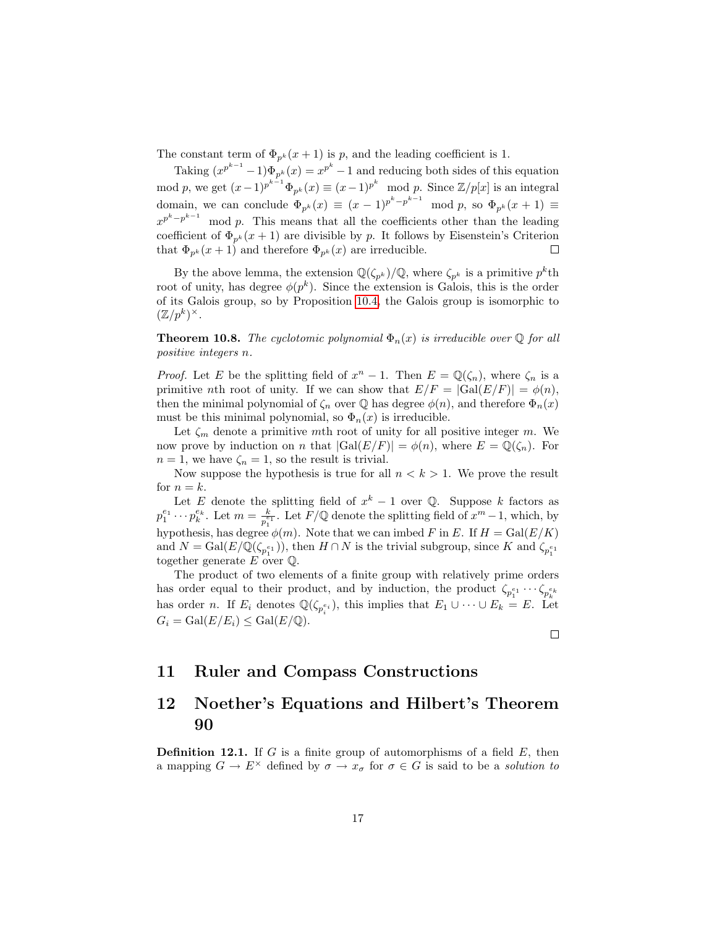The constant term of  $\Phi_{p^k}(x+1)$  is p, and the leading coefficient is 1.

Taking  $(x^{p^{k-1}}-1)\Phi_{p^k}(x) = x^{p^k}-1$  and reducing both sides of this equation mod p, we get  $(x-1)^{p^{k-1}}\Phi_{p^k}(x) \equiv (x-1)^{p^k} \mod p$ . Since  $\mathbb{Z}/p[x]$  is an integral domain, we can conclude  $\Phi_{p^k}(x) \equiv (x-1)^{p^k-p^{k-1}} \mod p$ , so  $\Phi_{p^k}(x+1) \equiv$  $x^{p^k-p^{k-1}}$  $\mod p$ . This means that all the coefficients other than the leading coefficient of  $\Phi_{p^k}(x+1)$  are divisible by p. It follows by Eisenstein's Criterion that  $\Phi_{p^k}(x+1)$  and therefore  $\Phi_{p^k}(x)$  are irreducible.  $\Box$ 

By the above lemma, the extension  $\mathbb{Q}(\zeta_{p^k})/\mathbb{Q}$ , where  $\zeta_{p^k}$  is a primitive  $p^k$ th root of unity, has degree  $\phi(p^k)$ . Since the extension is Galois, this is the order of its Galois group, so by Proposition [10.4,](#page-15-0) the Galois group is isomorphic to  $(\mathbb{Z}/p^k)^\times$ .

**Theorem 10.8.** The cyclotomic polynomial  $\Phi_n(x)$  is irreducible over  $\mathbb Q$  for all positive integers n.

*Proof.* Let E be the splitting field of  $x^n - 1$ . Then  $E = \mathbb{Q}(\zeta_n)$ , where  $\zeta_n$  is a primitive nth root of unity. If we can show that  $E/F = |Gal(E/F)| = \phi(n)$ , then the minimal polynomial of  $\zeta_n$  over  $\mathbb Q$  has degree  $\phi(n)$ , and therefore  $\Phi_n(x)$ must be this minimal polynomial, so  $\Phi_n(x)$  is irreducible.

Let  $\zeta_m$  denote a primitive mth root of unity for all positive integer m. We now prove by induction on n that  $|Gal(E/F)| = \phi(n)$ , where  $E = \mathbb{Q}(\zeta_n)$ . For  $n = 1$ , we have  $\zeta_n = 1$ , so the result is trivial.

Now suppose the hypothesis is true for all  $n < k > 1$ . We prove the result for  $n = k$ .

Let E denote the splitting field of  $x^k - 1$  over Q. Suppose k factors as  $p_1^{e_1} \cdots p_k^{e_k}$ . Let  $m = \frac{k}{p_1^e}$  $\frac{k}{p_1^{e_1}}$ . Let  $\overline{F}/\mathbb{Q}$  denote the splitting field of  $x^m - 1$ , which, by hypothesis, has degree  $\phi(m)$ . Note that we can imbed F in E. If  $H = \text{Gal}(E/K)$ and  $N = \text{Gal}(E/\mathbb{Q}(\zeta_{p_1^{e_1}}))$ , then  $H \cap N$  is the trivial subgroup, since K and  $\zeta_{p_1^{e_1}}$ together generate E over Q.

The product of two elements of a finite group with relatively prime orders has order equal to their product, and by induction, the product  $\zeta_{p_1^{e_1}} \cdots \zeta_{p_k^{e_k}}$ has order *n*. If  $E_i$  denotes  $\mathbb{Q}(\zeta_{p_i^{e_i}})$ , this implies that  $E_1 \cup \cdots \cup E_k = E$ . Let  $G_i = \text{Gal}(E/E_i) \leq \text{Gal}(E/\mathbb{Q}).$ 

 $\Box$ 

# 11 Ruler and Compass Constructions

# 12 Noether's Equations and Hilbert's Theorem 90

**Definition 12.1.** If G is a finite group of automorphisms of a field  $E$ , then a mapping  $G \to E^{\times}$  defined by  $\sigma \to x_{\sigma}$  for  $\sigma \in G$  is said to be a *solution to*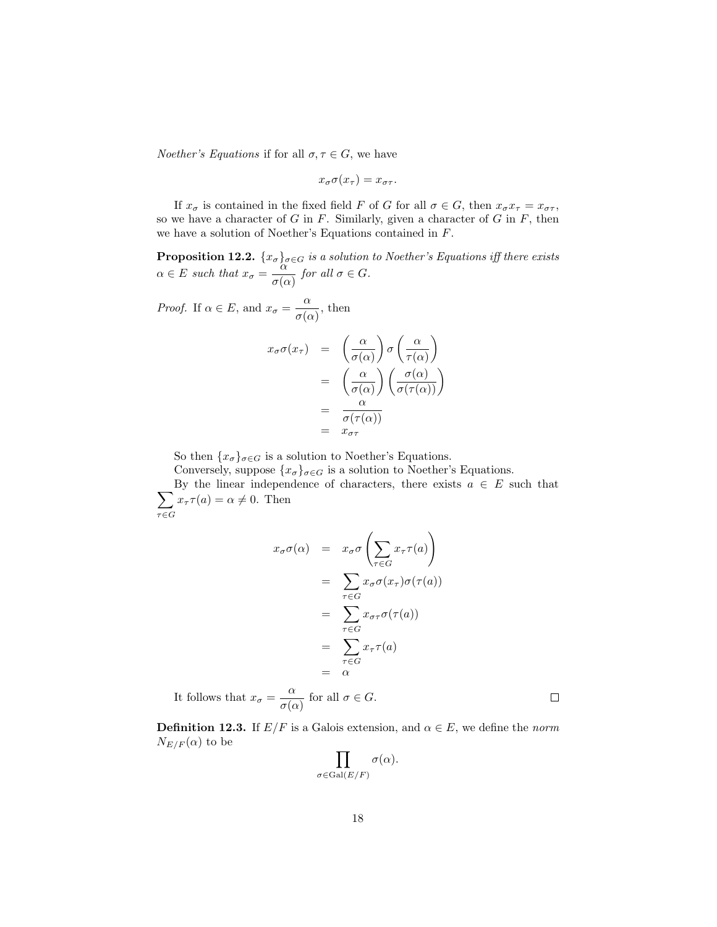*Noether's Equations* if for all  $\sigma, \tau \in G$ , we have

$$
x_{\sigma}\sigma(x_{\tau}) = x_{\sigma\tau}.
$$

If  $x_{\sigma}$  is contained in the fixed field F of G for all  $\sigma \in G$ , then  $x_{\sigma}x_{\tau} = x_{\sigma\tau}$ , so we have a character of  $G$  in  $F$ . Similarly, given a character of  $G$  in  $F$ , then we have a solution of Noether's Equations contained in F.

<span id="page-17-0"></span>**Proposition 12.2.**  $\{x_{\sigma}\}_{\sigma \in G}$  is a solution to Noether's Equations iff there exists  $\alpha \in E$  such that  $x_{\sigma} = \frac{\alpha}{\alpha}$  $\frac{\alpha}{\sigma(\alpha)}$  for all  $\sigma \in G$ .

*Proof.* If  $\alpha \in E$ , and  $x_{\sigma} = \frac{\alpha}{\alpha}$  $\frac{\alpha}{\sigma(\alpha)}$ , then

$$
x_{\sigma}\sigma(x_{\tau}) = \left(\frac{\alpha}{\sigma(\alpha)}\right)\sigma\left(\frac{\alpha}{\tau(\alpha)}\right)
$$
  
= 
$$
\left(\frac{\alpha}{\sigma(\alpha)}\right)\left(\frac{\sigma(\alpha)}{\sigma(\tau(\alpha))}\right)
$$
  
= 
$$
\frac{\alpha}{\sigma(\tau(\alpha))}
$$
  
= 
$$
x_{\sigma\tau}
$$

So then  $\{x_{\sigma}\}_{{\sigma}\in G}$  is a solution to Noether's Equations.

Conversely, suppose  $\{x_{\sigma}\}_{\sigma \in G}$  is a solution to Noether's Equations.

 $\sum$ By the linear independence of characters, there exists  $a \in E$  such that  $\tau{\in}G$  $x_{\tau} \tau(a) = \alpha \neq 0$ . Then

$$
x_{\sigma}\sigma(\alpha) = x_{\sigma}\sigma\left(\sum_{\tau \in G} x_{\tau}\tau(a)\right)
$$
  
= 
$$
\sum_{\tau \in G} x_{\sigma}\sigma(x_{\tau})\sigma(\tau(a))
$$
  
= 
$$
\sum_{\tau \in G} x_{\sigma\tau}\sigma(\tau(a))
$$
  
= 
$$
\sum_{\tau \in G} x_{\tau}\tau(a)
$$
  
= 
$$
\alpha
$$

It follows that  $x_{\sigma} = \frac{\alpha}{\sigma}$  $\frac{\alpha}{\sigma(\alpha)}$  for all  $\sigma \in G$ .  $\Box$ 

**Definition 12.3.** If  $E/F$  is a Galois extension, and  $\alpha \in E$ , we define the norm  $N_{E/F}(\alpha)$  to be

$$
\prod_{\sigma \in \mathrm{Gal}(E/F)} \sigma(\alpha).
$$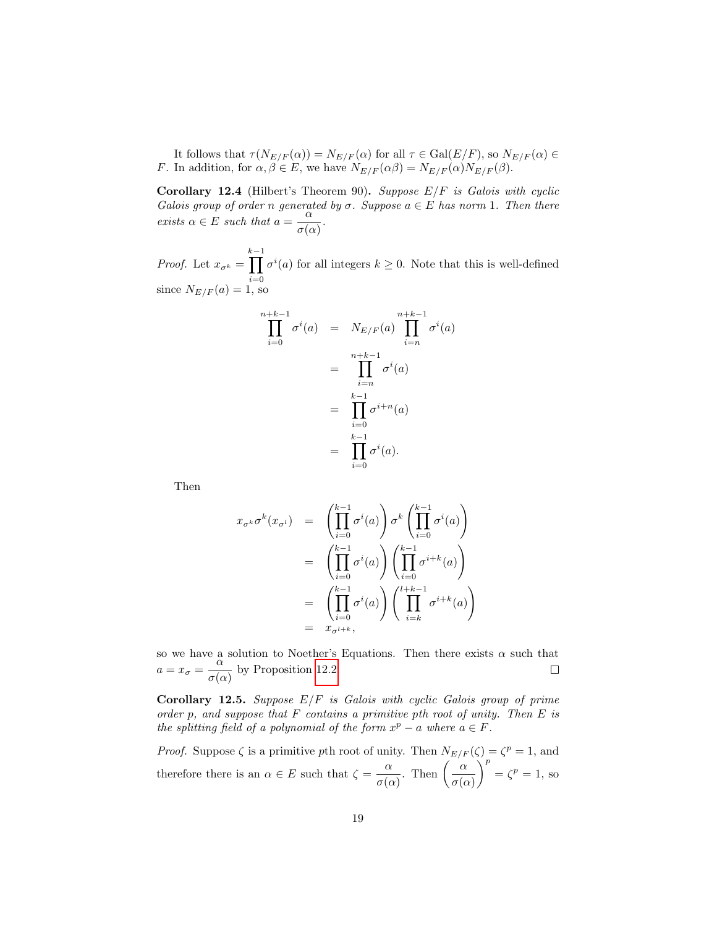It follows that  $\tau(N_{E/F}(\alpha)) = N_{E/F}(\alpha)$  for all  $\tau \in \text{Gal}(E/F)$ , so  $N_{E/F}(\alpha) \in$ *F*. In addition, for  $\alpha, \beta \in E$ , we have  $N_{E/F}(\alpha\beta) = N_{E/F}(\alpha)N_{E/F}(\beta)$ .

**Corollary 12.4** (Hilbert's Theorem 90). Suppose  $E/F$  is Galois with cyclic Galois group of order n generated by  $\sigma$ . Suppose  $a \in E$  has norm 1. Then there exists  $\alpha \in E$  such that  $a = -\frac{\alpha}{4}$  $\frac{\alpha}{\sigma(\alpha)}$ .

*Proof.* Let  $x_{\sigma^k} =$  $\prod_{k=1}^{k-1} \sigma^{i}(a)$  for all integers  $k \ge 0$ . Note that this is well-defined since  $N_{E/F}(a) = 1$ , so

$$
\prod_{i=0}^{n+k-1} \sigma^i(a) = N_{E/F}(a) \prod_{i=n}^{n+k-1} \sigma^i(a)
$$

$$
= \prod_{i=n}^{n+k-1} \sigma^i(a)
$$

$$
= \prod_{i=0}^{k-1} \sigma^{i+n}(a)
$$

$$
= \prod_{i=0}^{k-1} \sigma^i(a).
$$

Then

$$
x_{\sigma^k} \sigma^k(x_{\sigma^l}) = \left(\prod_{i=0}^{k-1} \sigma^i(a)\right) \sigma^k \left(\prod_{i=0}^{k-1} \sigma^i(a)\right)
$$
  

$$
= \left(\prod_{i=0}^{k-1} \sigma^i(a)\right) \left(\prod_{i=0}^{k-1} \sigma^{i+k}(a)\right)
$$
  

$$
= \left(\prod_{i=0}^{k-1} \sigma^i(a)\right) \left(\prod_{i=k}^{l+k-1} \sigma^{i+k}(a)\right)
$$
  

$$
= x_{\sigma^{l+k}},
$$

so we have a solution to Noether's Equations. Then there exists  $\alpha$  such that  $a = x_{\sigma} = \frac{\alpha}{\sigma}$  $\frac{\alpha}{\sigma(\alpha)}$  by Proposition [12.2.](#page-17-0)

<span id="page-18-0"></span>Corollary 12.5. Suppose  $E/F$  is Galois with cyclic Galois group of prime order p, and suppose that  $F$  contains a primitive pth root of unity. Then  $E$  is the splitting field of a polynomial of the form  $x^p - a$  where  $a \in F$ .

*Proof.* Suppose  $\zeta$  is a primitive pth root of unity. Then  $N_{E/F}(\zeta) = \zeta^p = 1$ , and therefore there is an  $\alpha \in E$  such that  $\zeta = -\frac{\alpha}{\sqrt{2\pi}}$  $\frac{\alpha}{\sigma(\alpha)}$ . Then  $\left(\frac{\alpha}{\sigma(\alpha)}\right)$  $\sigma(\alpha)$  $\int^p = \zeta^p = 1$ , so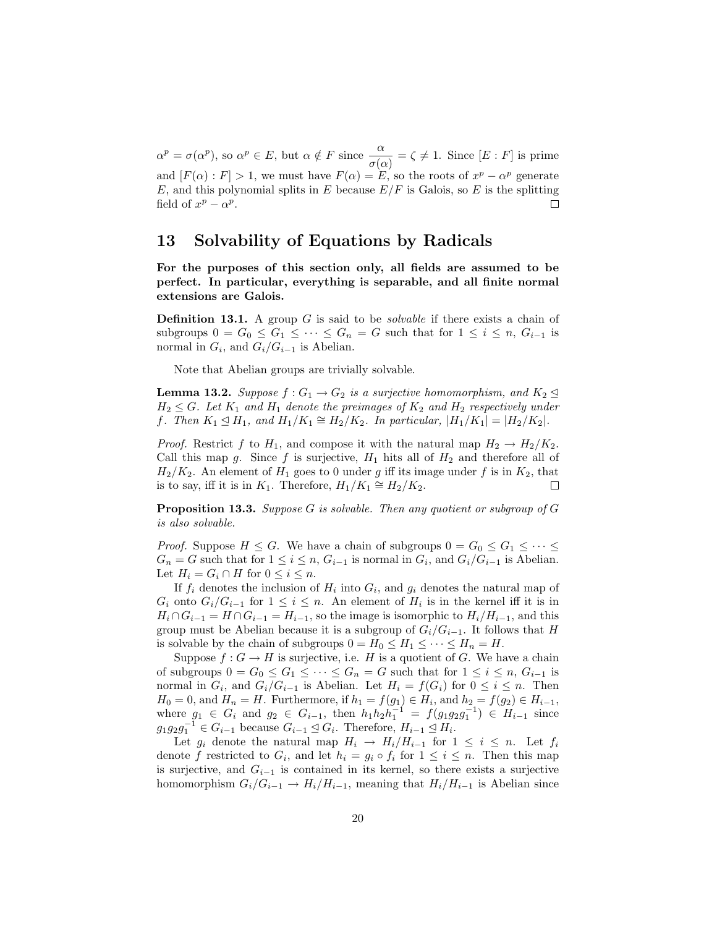$\alpha^p = \sigma(\alpha^p)$ , so  $\alpha^p \in E$ , but  $\alpha \notin F$  since  $\frac{\alpha}{\alpha}$  $\frac{\alpha}{\sigma(\alpha)} = \zeta \neq 1$ . Since  $[E : F]$  is prime and  $[F(\alpha): F] > 1$ , we must have  $F(\alpha) = E$ , so the roots of  $x^p - \alpha^p$  generate E, and this polynomial splits in E because  $E/F$  is Galois, so E is the splitting field of  $x^p - \alpha^p$ .  $\Box$ 

## 13 Solvability of Equations by Radicals

For the purposes of this section only, all fields are assumed to be perfect. In particular, everything is separable, and all finite normal extensions are Galois.

**Definition 13.1.** A group  $G$  is said to be *solvable* if there exists a chain of subgroups  $0 = G_0 \leq G_1 \leq \cdots \leq G_n = G$  such that for  $1 \leq i \leq n$ ,  $G_{i-1}$  is normal in  $G_i$ , and  $G_i/G_{i-1}$  is Abelian.

Note that Abelian groups are trivially solvable.

<span id="page-19-0"></span>**Lemma 13.2.** Suppose  $f: G_1 \to G_2$  is a surjective homomorphism, and  $K_2 \trianglelefteq$  $H_2 \leq G$ . Let  $K_1$  and  $H_1$  denote the preimages of  $K_2$  and  $H_2$  respectively under f. Then  $K_1 \trianglelefteq H_1$ , and  $H_1/K_1 \cong H_2/K_2$ . In particular,  $|H_1/K_1| = |H_2/K_2|$ .

*Proof.* Restrict f to  $H_1$ , and compose it with the natural map  $H_2 \to H_2/K_2$ . Call this map g. Since f is surjective,  $H_1$  hits all of  $H_2$  and therefore all of  $H_2/K_2$ . An element of  $H_1$  goes to 0 under g iff its image under f is in  $K_2$ , that is to say, iff it is in  $K_1$ . Therefore,  $H_1/K_1 \cong H_2/K_2$ .  $\Box$ 

<span id="page-19-1"></span>**Proposition 13.3.** Suppose G is solvable. Then any quotient or subgroup of  $G$ is also solvable.

*Proof.* Suppose  $H \leq G$ . We have a chain of subgroups  $0 = G_0 \leq G_1 \leq \cdots \leq G_n$  $G_n = G$  such that for  $1 \leq i \leq n$ ,  $G_{i-1}$  is normal in  $G_i$ , and  $G_i/G_{i-1}$  is Abelian. Let  $H_i = G_i \cap H$  for  $0 \leq i \leq n$ .

If  $f_i$  denotes the inclusion of  $H_i$  into  $G_i$ , and  $g_i$  denotes the natural map of  $G_i$  onto  $G_i/G_{i-1}$  for  $1 \leq i \leq n$ . An element of  $H_i$  is in the kernel iff it is in  $H_i \cap G_{i-1} = H \cap G_{i-1} = H_{i-1}$ , so the image is isomorphic to  $H_i/H_{i-1}$ , and this group must be Abelian because it is a subgroup of  $G_i/G_{i-1}$ . It follows that H is solvable by the chain of subgroups  $0 = H_0 \leq H_1 \leq \cdots \leq H_n = H$ .

Suppose  $f: G \to H$  is surjective, i.e. H is a quotient of G. We have a chain of subgroups  $0 = G_0 \leq G_1 \leq \cdots \leq G_n = G$  such that for  $1 \leq i \leq n$ ,  $G_{i-1}$  is normal in  $G_i$ , and  $G_i/G_{i-1}$  is Abelian. Let  $H_i = f(G_i)$  for  $0 \leq i \leq n$ . Then  $H_0 = 0$ , and  $H_n = H$ . Furthermore, if  $h_1 = f(g_1) \in H_i$ , and  $h_2 = f(g_2) \in H_{i-1}$ , where  $g_1 \in G_i$  and  $g_2 \in G_{i-1}$ , then  $h_1 h_2 h_1^{-1} = f(g_1 g_2 g_1^{-1}) \in H_{i-1}$  since  $g_1g_2g_1^{-1} \in G_{i-1}$  because  $G_{i-1} \trianglelefteq G_i$ . Therefore,  $H_{i-1} \trianglelefteq H_i$ .

Let  $g_i$  denote the natural map  $H_i \to H_i/H_{i-1}$  for  $1 \leq i \leq n$ . Let  $f_i$ denote f restricted to  $G_i$ , and let  $h_i = g_i \circ f_i$  for  $1 \leq i \leq n$ . Then this map is surjective, and  $G_{i-1}$  is contained in its kernel, so there exists a surjective homomorphism  $G_i/G_{i-1} \to H_i/H_{i-1}$ , meaning that  $H_i/H_{i-1}$  is Abelian since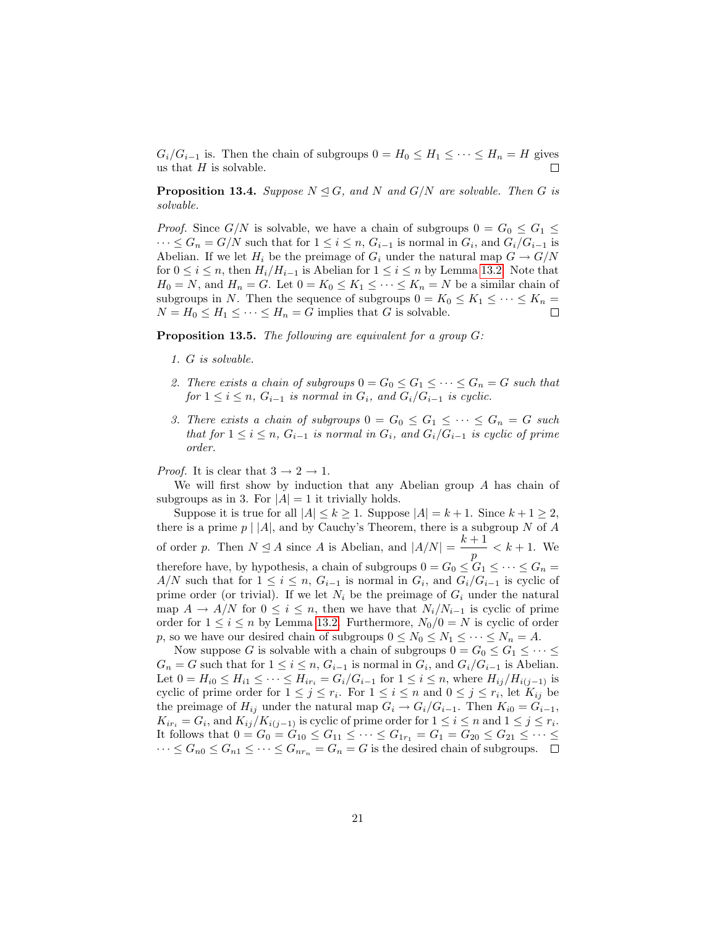$G_i/G_{i-1}$  is. Then the chain of subgroups  $0 = H_0 \leq H_1 \leq \cdots \leq H_n = H$  gives us that  $H$  is solvable.  $\Box$ 

**Proposition 13.4.** Suppose  $N \trianglelefteq G$ , and N and  $G/N$  are solvable. Then G is solvable.

*Proof.* Since  $G/N$  is solvable, we have a chain of subgroups  $0 = G_0 \leq G_1 \leq G_2$  $\dots \leq G_n = G/N$  such that for  $1 \leq i \leq n$ ,  $G_{i-1}$  is normal in  $G_i$ , and  $G_i/G_{i-1}$  is Abelian. If we let  $H_i$  be the preimage of  $G_i$  under the natural map  $G \to G/N$ for  $0 \le i \le n$ , then  $H_i/H_{i-1}$  is Abelian for  $1 \le i \le n$  by Lemma [13.2.](#page-19-0) Note that  $H_0 = N$ , and  $H_n = G$ . Let  $0 = K_0 \leq K_1 \leq \cdots \leq K_n = N$  be a similar chain of subgroups in N. Then the sequence of subgroups  $0 = K_0 \leq K_1 \leq \cdots \leq K_n =$  $N = H_0 \leq H_1 \leq \cdots \leq H_n = G$  implies that G is solvable.

<span id="page-20-0"></span>**Proposition 13.5.** The following are equivalent for a group  $G$ :

- 1. G is solvable.
- 2. There exists a chain of subgroups  $0 = G_0 \leq G_1 \leq \cdots \leq G_n = G$  such that for  $1 \leq i \leq n$ ,  $G_{i-1}$  is normal in  $G_i$ , and  $G_i/G_{i-1}$  is cyclic.
- 3. There exists a chain of subgroups  $0 = G_0 \leq G_1 \leq \cdots \leq G_n = G$  such that for  $1 \leq i \leq n$ ,  $G_{i-1}$  is normal in  $G_i$ , and  $G_i/G_{i-1}$  is cyclic of prime order.

*Proof.* It is clear that  $3 \rightarrow 2 \rightarrow 1$ .

We will first show by induction that any Abelian group A has chain of subgroups as in 3. For  $|A| = 1$  it trivially holds.

Suppose it is true for all  $|A| \le k \ge 1$ . Suppose  $|A| = k + 1$ . Since  $k + 1 \ge 2$ , there is a prime  $p \mid |A|$ , and by Cauchy's Theorem, there is a subgroup N of A of order p. Then  $N \leq A$  since A is Abelian, and  $|A/N| = \frac{k+1}{k+1}$  $\frac{1}{p} < k + 1$ . We therefore have, by hypothesis, a chain of subgroups  $0 = G_0 \leq G_1 \leq \cdots \leq G_n$  $A/N$  such that for  $1 \leq i \leq n$ ,  $G_{i-1}$  is normal in  $G_i$ , and  $G_i/G_{i-1}$  is cyclic of prime order (or trivial). If we let  $N_i$  be the preimage of  $G_i$  under the natural map  $A \to A/N$  for  $0 \leq i \leq n$ , then we have that  $N_i/N_{i-1}$  is cyclic of prime order for  $1 \leq i \leq n$  by Lemma [13.2.](#page-19-0) Furthermore,  $N_0/0 = N$  is cyclic of order p, so we have our desired chain of subgroups  $0 \leq N_0 \leq N_1 \leq \cdots \leq N_n = A$ .

Now suppose G is solvable with a chain of subgroups  $0 = G_0 \leq G_1 \leq \cdots \leq G_n$  $G_n = G$  such that for  $1 \leq i \leq n$ ,  $G_{i-1}$  is normal in  $G_i$ , and  $G_i/G_{i-1}$  is Abelian. Let  $0 = H_{i0} \le H_{i1} \le \cdots \le H_{ir_i} = G_i/G_{i-1}$  for  $1 \le i \le n$ , where  $H_{ij}/H_{i(j-1)}$  is cyclic of prime order for  $1 \leq j \leq r_i$ . For  $1 \leq i \leq n$  and  $0 \leq j \leq r_i$ , let  $K_{ij}$  be the preimage of  $H_{ij}$  under the natural map  $G_i \to G_i/G_{i-1}$ . Then  $K_{i0} = G_{i-1}$ ,  $K_{ir_i} = G_i$ , and  $K_{ij}/K_{i(j-1)}$  is cyclic of prime order for  $1 \leq i \leq n$  and  $1 \leq j \leq r_i$ . It follows that  $0 = G_0 = G_{10} \le G_{11} \le \cdots \le G_{1r_1} = G_1 = G_{20} \le G_{21} \le \cdots \le G_{1r}$  $\cdots \leq G_{n0} \leq G_{n1} \leq \cdots \leq G_{nr_n} = G_n = G$  is the desired chain of subgroups.  $\Box$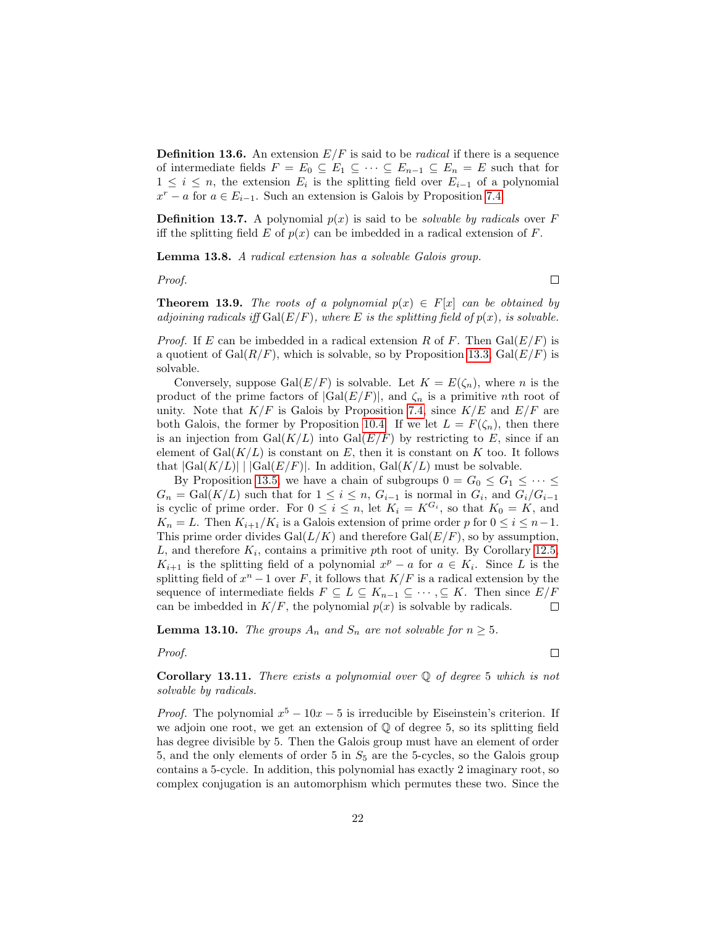**Definition 13.6.** An extension  $E/F$  is said to be *radical* if there is a sequence of intermediate fields  $F = E_0 \subseteq E_1 \subseteq \cdots \subseteq E_{n-1} \subseteq E_n = E$  such that for  $1 \leq i \leq n$ , the extension  $E_i$  is the splitting field over  $E_{i-1}$  of a polynomial  $x^r - a$  for  $a \in E_{i-1}$ . Such an extension is Galois by Proposition [7.4.](#page-11-0)

**Definition 13.7.** A polynomial  $p(x)$  is said to be *solvable by radicals* over F iff the splitting field E of  $p(x)$  can be imbedded in a radical extension of F.

Lemma 13.8. A radical extension has a solvable Galois group.

Proof.

 $\Box$ 

**Theorem 13.9.** The roots of a polynomial  $p(x) \in F[x]$  can be obtained by adjoining radicals iff  $Gal(E/F)$ , where E is the splitting field of  $p(x)$ , is solvable.

*Proof.* If E can be imbedded in a radical extension R of F. Then  $Gal(E/F)$  is a quotient of  $Gal(R/F)$ , which is solvable, so by Proposition [13.3,](#page-19-1)  $Gal(E/F)$  is solvable.

Conversely, suppose Gal $(E/F)$  is solvable. Let  $K = E(\zeta_n)$ , where n is the product of the prime factors of  $|Gal(E/F)|$ , and  $\zeta_n$  is a primitive nth root of unity. Note that  $K/F$  is Galois by Proposition [7.4,](#page-11-0) since  $K/E$  and  $E/F$  are both Galois, the former by Proposition [10.4.](#page-15-0) If we let  $L = F(\zeta_n)$ , then there is an injection from  $Gal(K/L)$  into  $Gal(E/F)$  by restricting to E, since if an element of  $Gal(K/L)$  is constant on E, then it is constant on K too. It follows that  $|Gal(K/L)| \mid |Gal(E/F)|$ . In addition,  $Gal(K/L)$  must be solvable.

By Proposition [13.5,](#page-20-0) we have a chain of subgroups  $0 = G_0 \leq G_1 \leq \cdots \leq$  $G_n = \text{Gal}(K/L)$  such that for  $1 \leq i \leq n$ ,  $G_{i-1}$  is normal in  $G_i$ , and  $G_i/G_{i-1}$ is cyclic of prime order. For  $0 \leq i \leq n$ , let  $K_i = K^{G_i}$ , so that  $K_0 = K$ , and  $K_n = L$ . Then  $K_{i+1}/K_i$  is a Galois extension of prime order p for  $0 \le i \le n-1$ . This prime order divides  $Gal(L/K)$  and therefore  $Gal(E/F)$ , so by assumption,  $L$ , and therefore  $K_i$ , contains a primitive pth root of unity. By Corollary [12.5,](#page-18-0)  $K_{i+1}$  is the splitting field of a polynomial  $x^p - a$  for  $a \in K_i$ . Since L is the splitting field of  $x^n - 1$  over F, it follows that  $K/F$  is a radical extension by the sequence of intermediate fields  $F \subseteq L \subseteq K_{n-1} \subseteq \cdots, \subseteq K$ . Then since  $E/F$ can be imbedded in  $K/F$ , the polynomial  $p(x)$  is solvable by radicals.  $\Box$ 

**Lemma 13.10.** The groups  $A_n$  and  $S_n$  are not solvable for  $n \geq 5$ .

#### Proof.

 $\Box$ 

**Corollary 13.11.** There exists a polynomial over  $\mathbb Q$  of degree 5 which is not solvable by radicals.

*Proof.* The polynomial  $x^5 - 10x - 5$  is irreducible by Eiseinstein's criterion. If we adjoin one root, we get an extension of Q of degree 5, so its splitting field has degree divisible by 5. Then the Galois group must have an element of order 5, and the only elements of order 5 in  $S_5$  are the 5-cycles, so the Galois group contains a 5-cycle. In addition, this polynomial has exactly 2 imaginary root, so complex conjugation is an automorphism which permutes these two. Since the